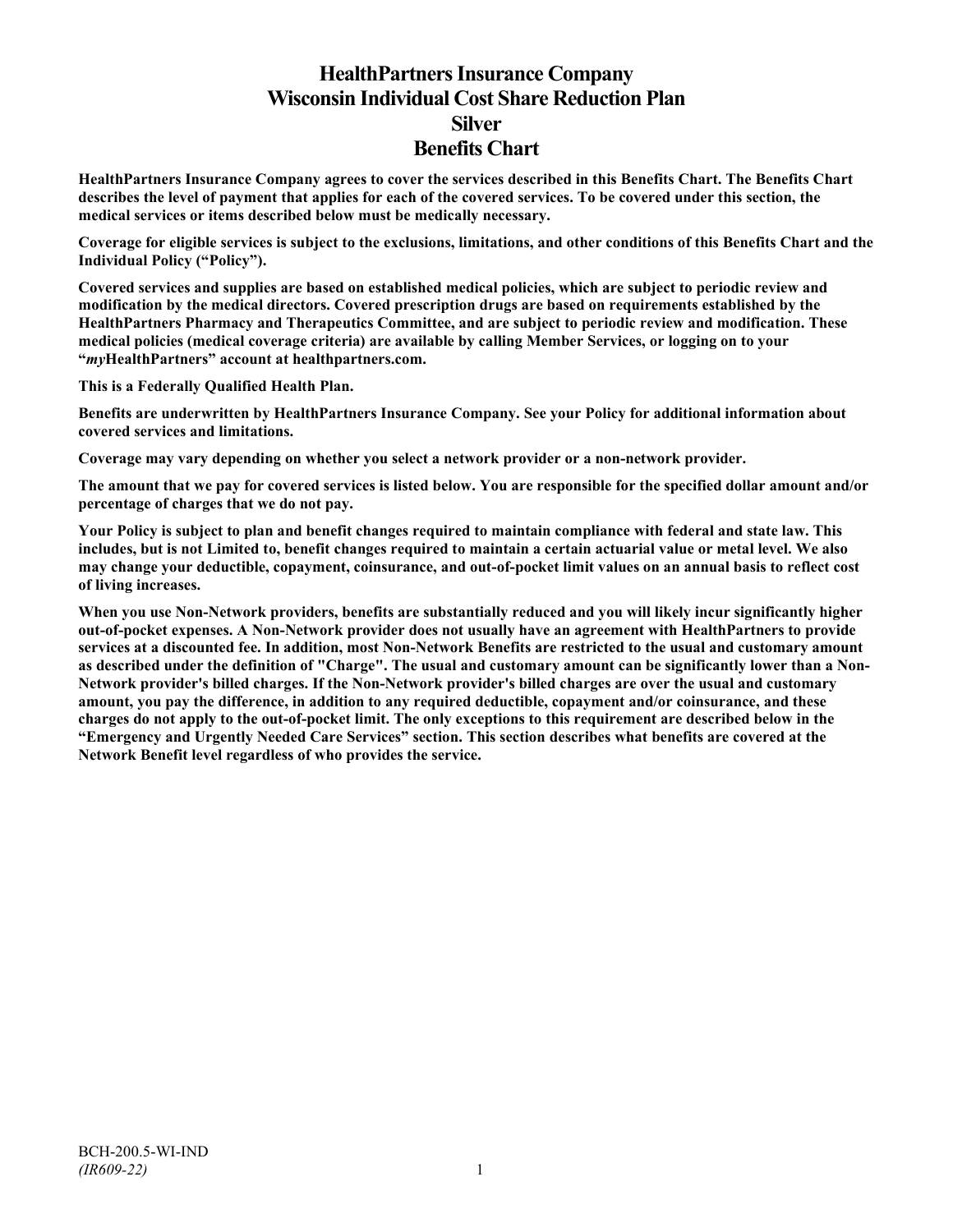# **HealthPartners Insurance Company Wisconsin Individual Cost Share Reduction Plan Silver Benefits Chart**

**HealthPartners Insurance Company agrees to cover the services described in this Benefits Chart. The Benefits Chart describes the level of payment that applies for each of the covered services. To be covered under this section, the medical services or items described below must be medically necessary.**

**Coverage for eligible services is subject to the exclusions, limitations, and other conditions of this Benefits Chart and the Individual Policy ("Policy").**

**Covered services and supplies are based on established medical policies, which are subject to periodic review and modification by the medical directors. Covered prescription drugs are based on requirements established by the HealthPartners Pharmacy and Therapeutics Committee, and are subject to periodic review and modification. These medical policies (medical coverage criteria) are available by calling Member Services, or logging on to your "***my***HealthPartners" account at [healthpartners.com.](http://www.healthpartners.com/)**

**This is a Federally Qualified Health Plan.**

**Benefits are underwritten by HealthPartners Insurance Company. See your Policy for additional information about covered services and limitations.**

**Coverage may vary depending on whether you select a network provider or a non-network provider.**

**The amount that we pay for covered services is listed below. You are responsible for the specified dollar amount and/or percentage of charges that we do not pay.**

**Your Policy is subject to plan and benefit changes required to maintain compliance with federal and state law. This includes, but is not Limited to, benefit changes required to maintain a certain actuarial value or metal level. We also may change your deductible, copayment, coinsurance, and out-of-pocket limit values on an annual basis to reflect cost of living increases.**

**When you use Non-Network providers, benefits are substantially reduced and you will likely incur significantly higher out-of-pocket expenses. A Non-Network provider does not usually have an agreement with HealthPartners to provide services at a discounted fee. In addition, most Non-Network Benefits are restricted to the usual and customary amount as described under the definition of "Charge". The usual and customary amount can be significantly lower than a Non-Network provider's billed charges. If the Non-Network provider's billed charges are over the usual and customary amount, you pay the difference, in addition to any required deductible, copayment and/or coinsurance, and these charges do not apply to the out-of-pocket limit. The only exceptions to this requirement are described below in the "Emergency and Urgently Needed Care Services" section. This section describes what benefits are covered at the Network Benefit level regardless of who provides the service.**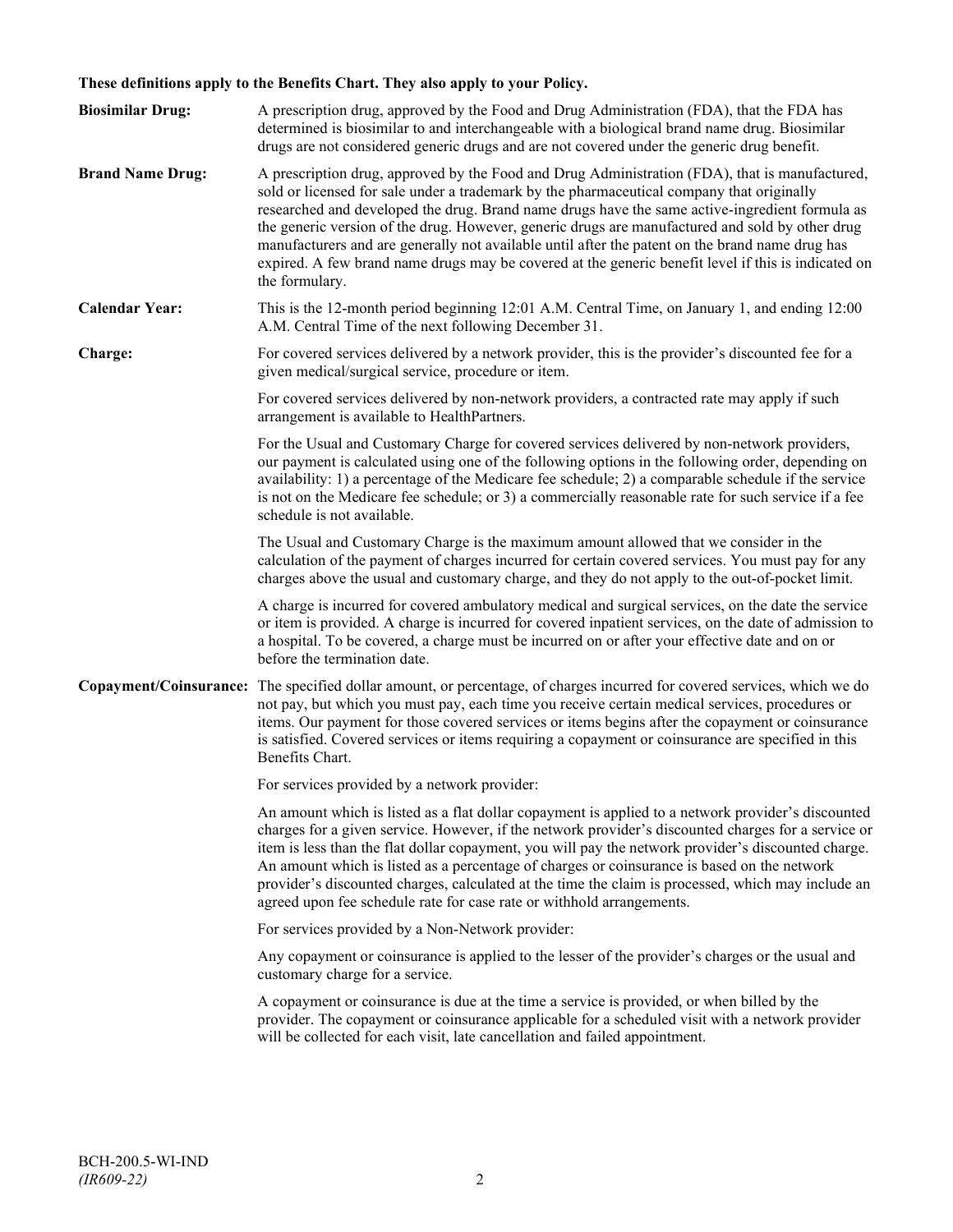## **These definitions apply to the Benefits Chart. They also apply to your Policy.**

| <b>Biosimilar Drug:</b> | A prescription drug, approved by the Food and Drug Administration (FDA), that the FDA has<br>determined is biosimilar to and interchangeable with a biological brand name drug. Biosimilar<br>drugs are not considered generic drugs and are not covered under the generic drug benefit.                                                                                                                                                                                                                                                                                                                                     |
|-------------------------|------------------------------------------------------------------------------------------------------------------------------------------------------------------------------------------------------------------------------------------------------------------------------------------------------------------------------------------------------------------------------------------------------------------------------------------------------------------------------------------------------------------------------------------------------------------------------------------------------------------------------|
| <b>Brand Name Drug:</b> | A prescription drug, approved by the Food and Drug Administration (FDA), that is manufactured,<br>sold or licensed for sale under a trademark by the pharmaceutical company that originally<br>researched and developed the drug. Brand name drugs have the same active-ingredient formula as<br>the generic version of the drug. However, generic drugs are manufactured and sold by other drug<br>manufacturers and are generally not available until after the patent on the brand name drug has<br>expired. A few brand name drugs may be covered at the generic benefit level if this is indicated on<br>the formulary. |
| <b>Calendar Year:</b>   | This is the 12-month period beginning 12:01 A.M. Central Time, on January 1, and ending 12:00<br>A.M. Central Time of the next following December 31.                                                                                                                                                                                                                                                                                                                                                                                                                                                                        |
| Charge:                 | For covered services delivered by a network provider, this is the provider's discounted fee for a<br>given medical/surgical service, procedure or item.                                                                                                                                                                                                                                                                                                                                                                                                                                                                      |
|                         | For covered services delivered by non-network providers, a contracted rate may apply if such<br>arrangement is available to HealthPartners.                                                                                                                                                                                                                                                                                                                                                                                                                                                                                  |
|                         | For the Usual and Customary Charge for covered services delivered by non-network providers,<br>our payment is calculated using one of the following options in the following order, depending on<br>availability: 1) a percentage of the Medicare fee schedule; 2) a comparable schedule if the service<br>is not on the Medicare fee schedule; or 3) a commercially reasonable rate for such service if a fee<br>schedule is not available.                                                                                                                                                                                 |
|                         | The Usual and Customary Charge is the maximum amount allowed that we consider in the<br>calculation of the payment of charges incurred for certain covered services. You must pay for any<br>charges above the usual and customary charge, and they do not apply to the out-of-pocket limit.                                                                                                                                                                                                                                                                                                                                 |
|                         | A charge is incurred for covered ambulatory medical and surgical services, on the date the service<br>or item is provided. A charge is incurred for covered inpatient services, on the date of admission to<br>a hospital. To be covered, a charge must be incurred on or after your effective date and on or<br>before the termination date.                                                                                                                                                                                                                                                                                |
|                         | Copayment/Coinsurance: The specified dollar amount, or percentage, of charges incurred for covered services, which we do<br>not pay, but which you must pay, each time you receive certain medical services, procedures or<br>items. Our payment for those covered services or items begins after the copayment or coinsurance<br>is satisfied. Covered services or items requiring a copayment or coinsurance are specified in this<br>Benefits Chart.                                                                                                                                                                      |
|                         | For services provided by a network provider:                                                                                                                                                                                                                                                                                                                                                                                                                                                                                                                                                                                 |
|                         | An amount which is listed as a flat dollar copayment is applied to a network provider's discounted<br>charges for a given service. However, if the network provider's discounted charges for a service or<br>item is less than the flat dollar copayment, you will pay the network provider's discounted charge.<br>An amount which is listed as a percentage of charges or coinsurance is based on the network<br>provider's discounted charges, calculated at the time the claim is processed, which may include an<br>agreed upon fee schedule rate for case rate or withhold arrangements.                               |
|                         | For services provided by a Non-Network provider:                                                                                                                                                                                                                                                                                                                                                                                                                                                                                                                                                                             |
|                         | Any copayment or coinsurance is applied to the lesser of the provider's charges or the usual and<br>customary charge for a service.                                                                                                                                                                                                                                                                                                                                                                                                                                                                                          |
|                         | A copayment or coinsurance is due at the time a service is provided, or when billed by the<br>provider. The copayment or coinsurance applicable for a scheduled visit with a network provider<br>will be collected for each visit, late cancellation and failed appointment.                                                                                                                                                                                                                                                                                                                                                 |
|                         |                                                                                                                                                                                                                                                                                                                                                                                                                                                                                                                                                                                                                              |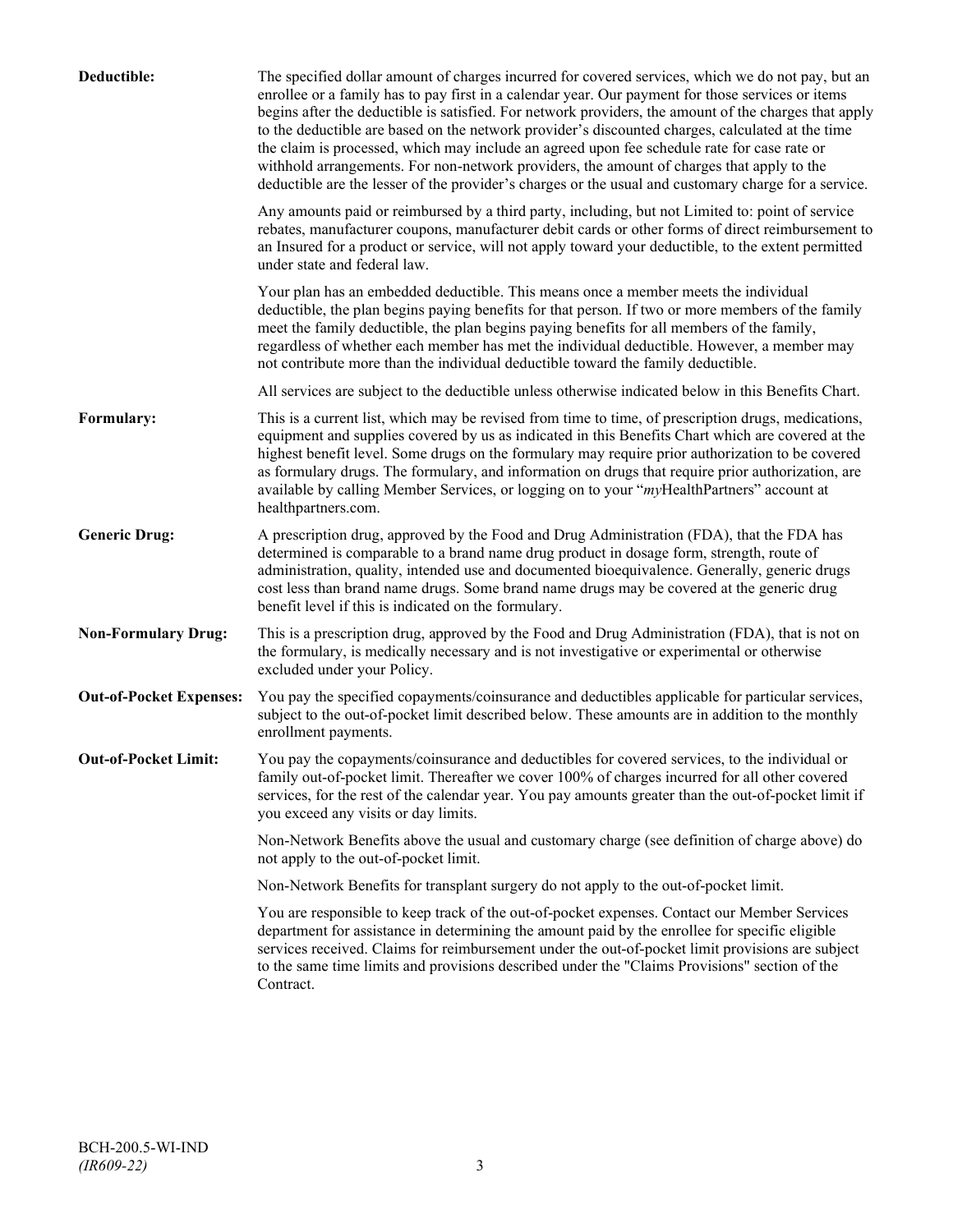| Deductible:                    | The specified dollar amount of charges incurred for covered services, which we do not pay, but an<br>enrollee or a family has to pay first in a calendar year. Our payment for those services or items<br>begins after the deductible is satisfied. For network providers, the amount of the charges that apply<br>to the deductible are based on the network provider's discounted charges, calculated at the time<br>the claim is processed, which may include an agreed upon fee schedule rate for case rate or<br>withhold arrangements. For non-network providers, the amount of charges that apply to the<br>deductible are the lesser of the provider's charges or the usual and customary charge for a service. |
|--------------------------------|-------------------------------------------------------------------------------------------------------------------------------------------------------------------------------------------------------------------------------------------------------------------------------------------------------------------------------------------------------------------------------------------------------------------------------------------------------------------------------------------------------------------------------------------------------------------------------------------------------------------------------------------------------------------------------------------------------------------------|
|                                | Any amounts paid or reimbursed by a third party, including, but not Limited to: point of service<br>rebates, manufacturer coupons, manufacturer debit cards or other forms of direct reimbursement to<br>an Insured for a product or service, will not apply toward your deductible, to the extent permitted<br>under state and federal law.                                                                                                                                                                                                                                                                                                                                                                            |
|                                | Your plan has an embedded deductible. This means once a member meets the individual<br>deductible, the plan begins paying benefits for that person. If two or more members of the family<br>meet the family deductible, the plan begins paying benefits for all members of the family,<br>regardless of whether each member has met the individual deductible. However, a member may<br>not contribute more than the individual deductible toward the family deductible.                                                                                                                                                                                                                                                |
|                                | All services are subject to the deductible unless otherwise indicated below in this Benefits Chart.                                                                                                                                                                                                                                                                                                                                                                                                                                                                                                                                                                                                                     |
| Formulary:                     | This is a current list, which may be revised from time to time, of prescription drugs, medications,<br>equipment and supplies covered by us as indicated in this Benefits Chart which are covered at the<br>highest benefit level. Some drugs on the formulary may require prior authorization to be covered<br>as formulary drugs. The formulary, and information on drugs that require prior authorization, are<br>available by calling Member Services, or logging on to your "myHealthPartners" account at<br>healthpartners.com.                                                                                                                                                                                   |
| <b>Generic Drug:</b>           | A prescription drug, approved by the Food and Drug Administration (FDA), that the FDA has<br>determined is comparable to a brand name drug product in dosage form, strength, route of<br>administration, quality, intended use and documented bioequivalence. Generally, generic drugs<br>cost less than brand name drugs. Some brand name drugs may be covered at the generic drug<br>benefit level if this is indicated on the formulary.                                                                                                                                                                                                                                                                             |
| <b>Non-Formulary Drug:</b>     | This is a prescription drug, approved by the Food and Drug Administration (FDA), that is not on<br>the formulary, is medically necessary and is not investigative or experimental or otherwise<br>excluded under your Policy.                                                                                                                                                                                                                                                                                                                                                                                                                                                                                           |
| <b>Out-of-Pocket Expenses:</b> | You pay the specified copayments/coinsurance and deductibles applicable for particular services,<br>subject to the out-of-pocket limit described below. These amounts are in addition to the monthly<br>enrollment payments.                                                                                                                                                                                                                                                                                                                                                                                                                                                                                            |
| <b>Out-of-Pocket Limit:</b>    | You pay the copayments/coinsurance and deductibles for covered services, to the individual or<br>family out-of-pocket limit. Thereafter we cover 100% of charges incurred for all other covered<br>services, for the rest of the calendar year. You pay amounts greater than the out-of-pocket limit if<br>you exceed any visits or day limits.                                                                                                                                                                                                                                                                                                                                                                         |
|                                | Non-Network Benefits above the usual and customary charge (see definition of charge above) do<br>not apply to the out-of-pocket limit.                                                                                                                                                                                                                                                                                                                                                                                                                                                                                                                                                                                  |
|                                | Non-Network Benefits for transplant surgery do not apply to the out-of-pocket limit.                                                                                                                                                                                                                                                                                                                                                                                                                                                                                                                                                                                                                                    |
|                                | You are responsible to keep track of the out-of-pocket expenses. Contact our Member Services<br>department for assistance in determining the amount paid by the enrollee for specific eligible<br>services received. Claims for reimbursement under the out-of-pocket limit provisions are subject<br>to the same time limits and provisions described under the "Claims Provisions" section of the<br>Contract.                                                                                                                                                                                                                                                                                                        |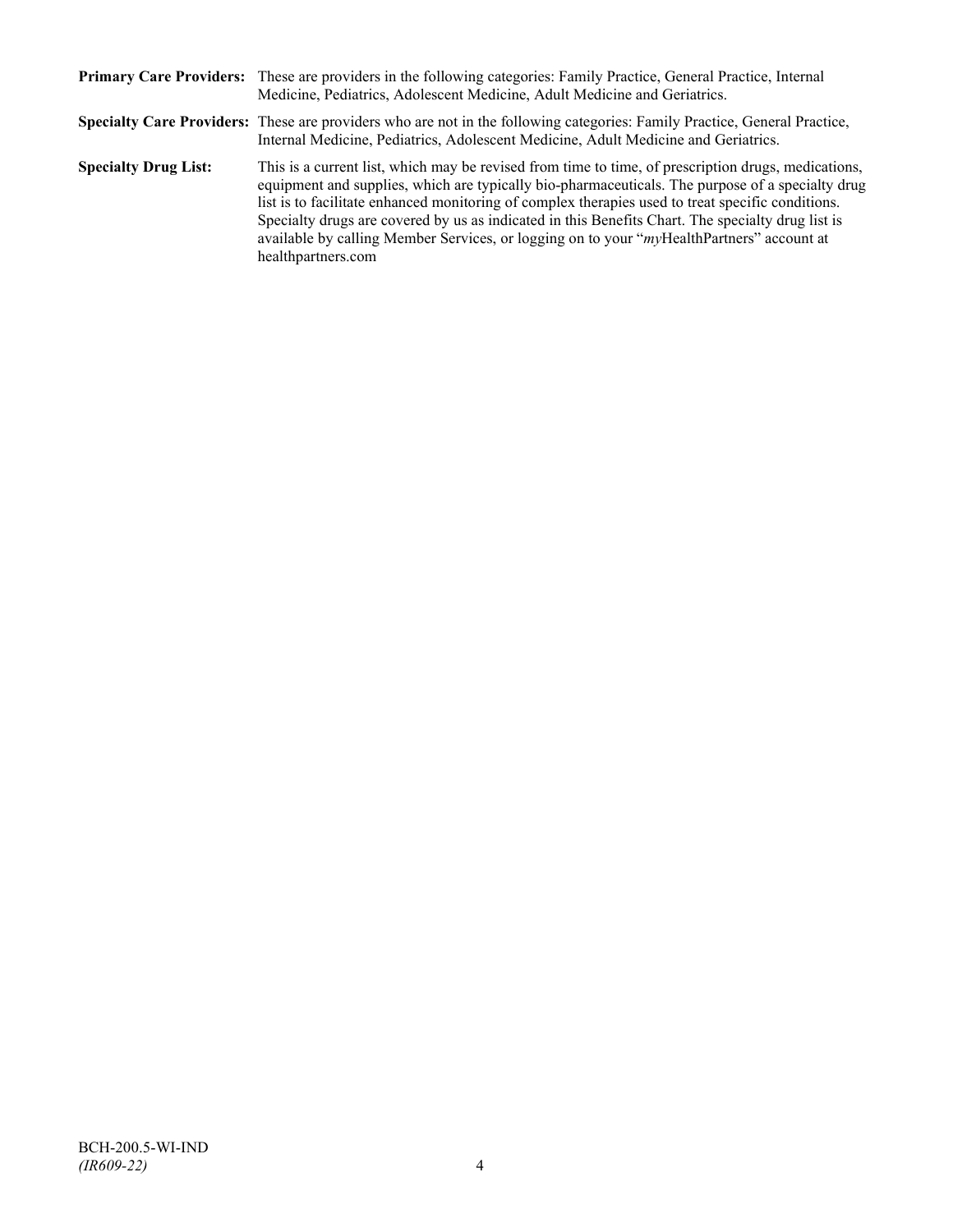|                             | Primary Care Providers: These are providers in the following categories: Family Practice, General Practice, Internal<br>Medicine, Pediatrics, Adolescent Medicine, Adult Medicine and Geriatrics.                                                                                                                                                                                                                                                                                                                                    |
|-----------------------------|--------------------------------------------------------------------------------------------------------------------------------------------------------------------------------------------------------------------------------------------------------------------------------------------------------------------------------------------------------------------------------------------------------------------------------------------------------------------------------------------------------------------------------------|
|                             | Specialty Care Providers: These are providers who are not in the following categories: Family Practice, General Practice,<br>Internal Medicine, Pediatrics, Adolescent Medicine, Adult Medicine and Geriatrics.                                                                                                                                                                                                                                                                                                                      |
| <b>Specialty Drug List:</b> | This is a current list, which may be revised from time to time, of prescription drugs, medications,<br>equipment and supplies, which are typically bio-pharmaceuticals. The purpose of a specialty drug<br>list is to facilitate enhanced monitoring of complex therapies used to treat specific conditions.<br>Specialty drugs are covered by us as indicated in this Benefits Chart. The specialty drug list is<br>available by calling Member Services, or logging on to your "myHealthPartners" account at<br>healthpartners.com |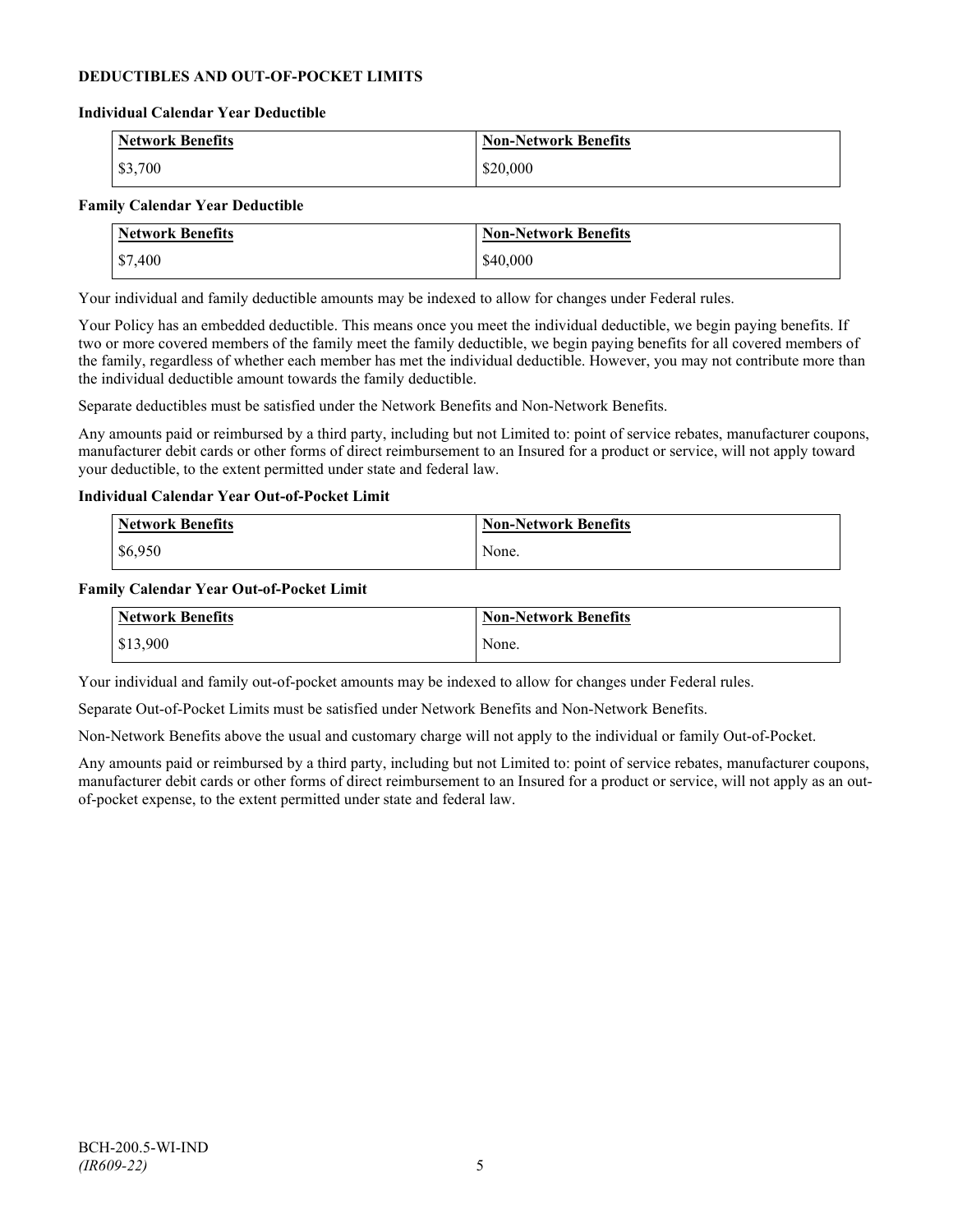## **DEDUCTIBLES AND OUT-OF-POCKET LIMITS**

#### **Individual Calendar Year Deductible**

| <b>Network Benefits</b> | <b>Non-Network Benefits</b> |
|-------------------------|-----------------------------|
| \$3,700                 | \$20,000                    |

#### **Family Calendar Year Deductible**

| <b>Network Benefits</b> | Non-Network Benefits |
|-------------------------|----------------------|
| \$7,400                 | \$40,000             |

Your individual and family deductible amounts may be indexed to allow for changes under Federal rules.

Your Policy has an embedded deductible. This means once you meet the individual deductible, we begin paying benefits. If two or more covered members of the family meet the family deductible, we begin paying benefits for all covered members of the family, regardless of whether each member has met the individual deductible. However, you may not contribute more than the individual deductible amount towards the family deductible.

Separate deductibles must be satisfied under the Network Benefits and Non-Network Benefits.

Any amounts paid or reimbursed by a third party, including but not Limited to: point of service rebates, manufacturer coupons, manufacturer debit cards or other forms of direct reimbursement to an Insured for a product or service, will not apply toward your deductible, to the extent permitted under state and federal law.

#### **Individual Calendar Year Out-of-Pocket Limit**

| <b>Network Benefits</b> | <b>Non-Network Benefits</b> |
|-------------------------|-----------------------------|
| \$6,950                 | None.                       |

#### **Family Calendar Year Out-of-Pocket Limit**

| Network Benefits | Non-Network Benefits |
|------------------|----------------------|
| \$13,900         | None.                |

Your individual and family out-of-pocket amounts may be indexed to allow for changes under Federal rules.

Separate Out-of-Pocket Limits must be satisfied under Network Benefits and Non-Network Benefits.

Non-Network Benefits above the usual and customary charge will not apply to the individual or family Out-of-Pocket.

Any amounts paid or reimbursed by a third party, including but not Limited to: point of service rebates, manufacturer coupons, manufacturer debit cards or other forms of direct reimbursement to an Insured for a product or service, will not apply as an outof-pocket expense, to the extent permitted under state and federal law.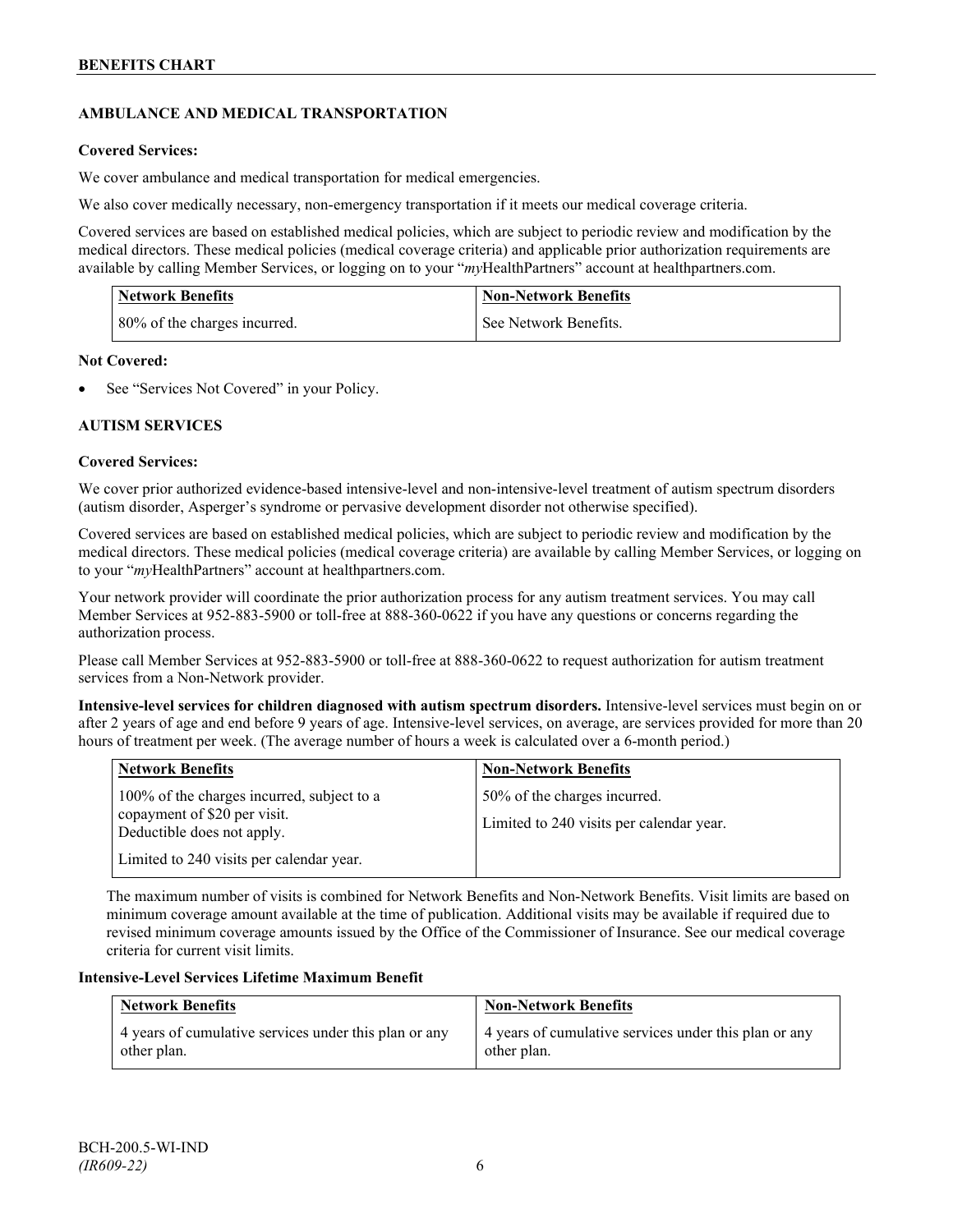## **AMBULANCE AND MEDICAL TRANSPORTATION**

## **Covered Services:**

We cover ambulance and medical transportation for medical emergencies.

We also cover medically necessary, non-emergency transportation if it meets our medical coverage criteria.

Covered services are based on established medical policies, which are subject to periodic review and modification by the medical directors. These medical policies (medical coverage criteria) and applicable prior authorization requirements are available by calling Member Services, or logging on to your "*my*HealthPartners" account a[t healthpartners.com.](http://www.healthpartners.com/)

| <b>Network Benefits</b>      | <b>Non-Network Benefits</b> |
|------------------------------|-----------------------------|
| 80% of the charges incurred. | See Network Benefits.       |

#### **Not Covered:**

See "Services Not Covered" in your Policy.

## **AUTISM SERVICES**

## **Covered Services:**

We cover prior authorized evidence-based intensive-level and non-intensive-level treatment of autism spectrum disorders (autism disorder, Asperger's syndrome or pervasive development disorder not otherwise specified).

Covered services are based on established medical policies, which are subject to periodic review and modification by the medical directors. These medical policies (medical coverage criteria) are available by calling Member Services, or logging on to your "*my*HealthPartners" account at [healthpartners.com.](http://www.healthpartners.com/)

Your network provider will coordinate the prior authorization process for any autism treatment services. You may call Member Services at 952-883-5900 or toll-free at 888-360-0622 if you have any questions or concerns regarding the authorization process.

Please call Member Services at 952-883-5900 or toll-free at 888-360-0622 to request authorization for autism treatment services from a Non-Network provider.

**Intensive-level services for children diagnosed with autism spectrum disorders.** Intensive-level services must begin on or after 2 years of age and end before 9 years of age. Intensive-level services, on average, are services provided for more than 20 hours of treatment per week. (The average number of hours a week is calculated over a 6-month period.)

| <b>Network Benefits</b>                                                                                                                              | <b>Non-Network Benefits</b>                                              |
|------------------------------------------------------------------------------------------------------------------------------------------------------|--------------------------------------------------------------------------|
| 100% of the charges incurred, subject to a<br>copayment of \$20 per visit.<br>Deductible does not apply.<br>Limited to 240 visits per calendar year. | 50% of the charges incurred.<br>Limited to 240 visits per calendar year. |

The maximum number of visits is combined for Network Benefits and Non-Network Benefits. Visit limits are based on minimum coverage amount available at the time of publication. Additional visits may be available if required due to revised minimum coverage amounts issued by the Office of the Commissioner of Insurance. See our medical coverage criteria for current visit limits.

#### **Intensive-Level Services Lifetime Maximum Benefit**

| <b>Network Benefits</b>                               | <b>Non-Network Benefits</b>                           |
|-------------------------------------------------------|-------------------------------------------------------|
| 4 years of cumulative services under this plan or any | 4 years of cumulative services under this plan or any |
| other plan.                                           | other plan.                                           |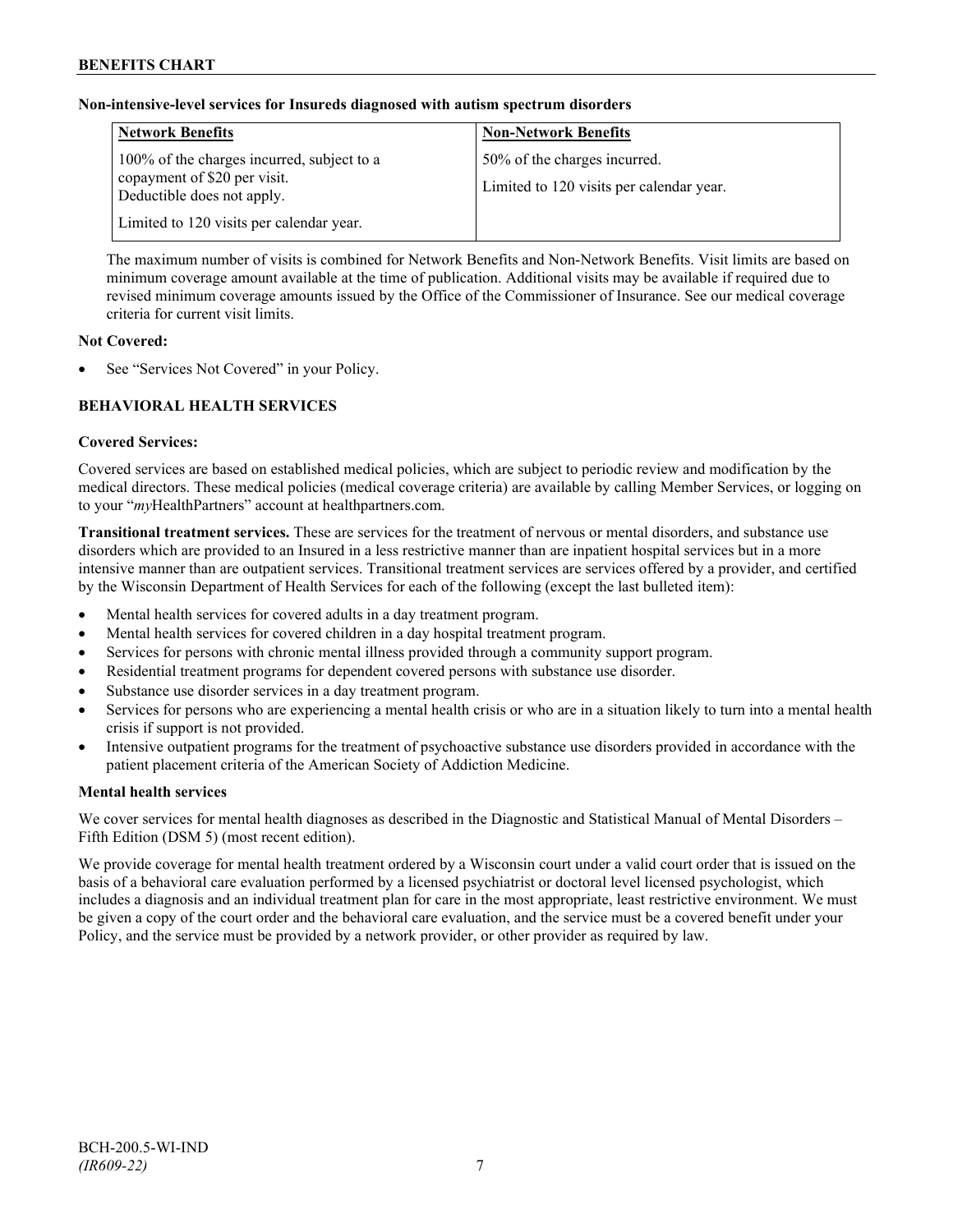## **Non-intensive-level services for Insureds diagnosed with autism spectrum disorders**

| <b>Network Benefits</b>                                                                                  | <b>Non-Network Benefits</b>                                              |
|----------------------------------------------------------------------------------------------------------|--------------------------------------------------------------------------|
| 100% of the charges incurred, subject to a<br>copayment of \$20 per visit.<br>Deductible does not apply. | 50% of the charges incurred.<br>Limited to 120 visits per calendar year. |
| Limited to 120 visits per calendar year.                                                                 |                                                                          |

The maximum number of visits is combined for Network Benefits and Non-Network Benefits. Visit limits are based on minimum coverage amount available at the time of publication. Additional visits may be available if required due to revised minimum coverage amounts issued by the Office of the Commissioner of Insurance. See our medical coverage criteria for current visit limits.

## **Not Covered:**

See "Services Not Covered" in your Policy.

## **BEHAVIORAL HEALTH SERVICES**

#### **Covered Services:**

Covered services are based on established medical policies, which are subject to periodic review and modification by the medical directors. These medical policies (medical coverage criteria) are available by calling Member Services, or logging on to your "*my*HealthPartners" account at [healthpartners.com.](http://www.healthpartners.com/)

**Transitional treatment services.** These are services for the treatment of nervous or mental disorders, and substance use disorders which are provided to an Insured in a less restrictive manner than are inpatient hospital services but in a more intensive manner than are outpatient services. Transitional treatment services are services offered by a provider, and certified by the Wisconsin Department of Health Services for each of the following (except the last bulleted item):

- Mental health services for covered adults in a day treatment program.
- Mental health services for covered children in a day hospital treatment program.
- Services for persons with chronic mental illness provided through a community support program.
- Residential treatment programs for dependent covered persons with substance use disorder.
- Substance use disorder services in a day treatment program.
- Services for persons who are experiencing a mental health crisis or who are in a situation likely to turn into a mental health crisis if support is not provided.
- Intensive outpatient programs for the treatment of psychoactive substance use disorders provided in accordance with the patient placement criteria of the American Society of Addiction Medicine.

## **Mental health services**

We cover services for mental health diagnoses as described in the Diagnostic and Statistical Manual of Mental Disorders – Fifth Edition (DSM 5) (most recent edition).

We provide coverage for mental health treatment ordered by a Wisconsin court under a valid court order that is issued on the basis of a behavioral care evaluation performed by a licensed psychiatrist or doctoral level licensed psychologist, which includes a diagnosis and an individual treatment plan for care in the most appropriate, least restrictive environment. We must be given a copy of the court order and the behavioral care evaluation, and the service must be a covered benefit under your Policy, and the service must be provided by a network provider, or other provider as required by law.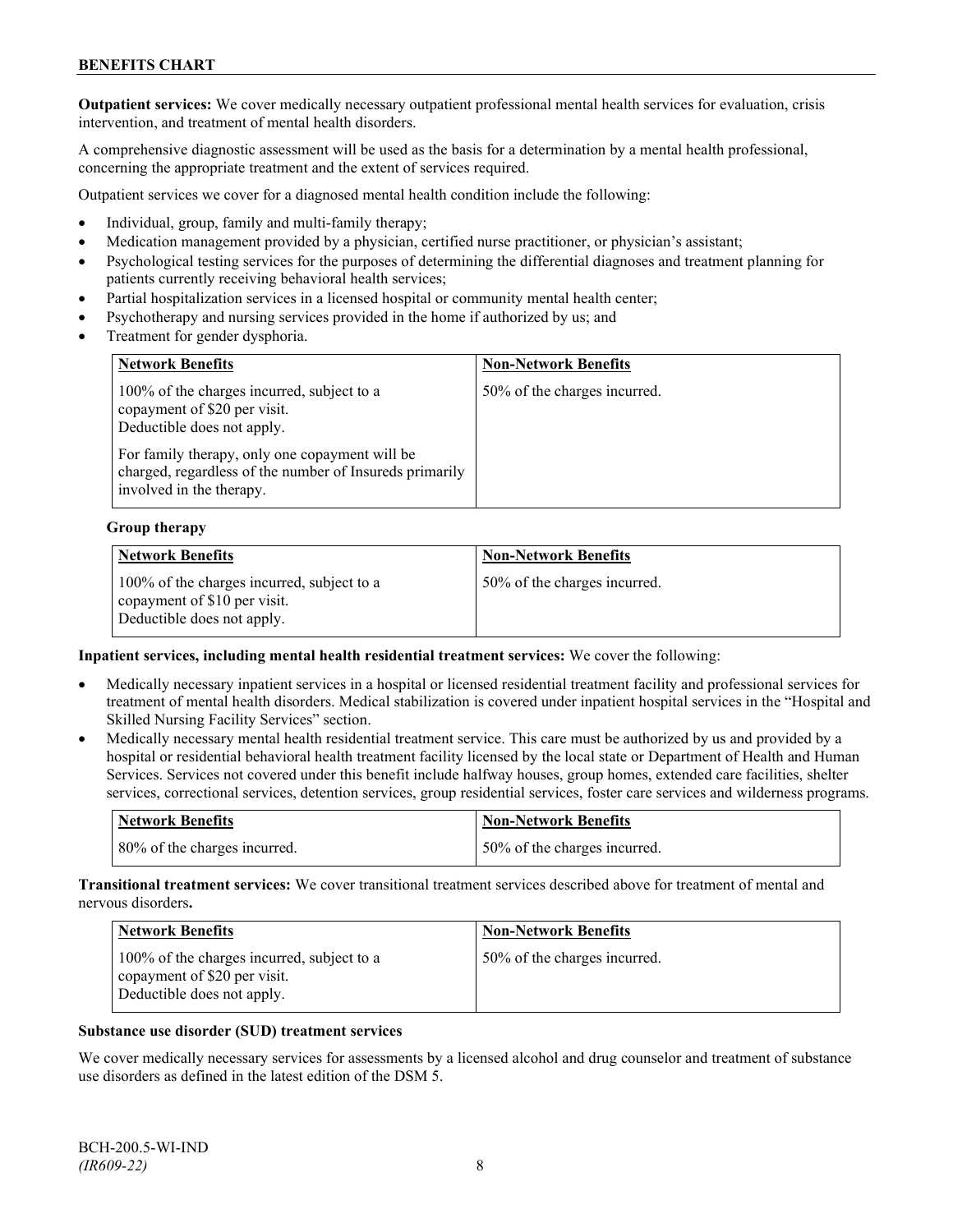**Outpatient services:** We cover medically necessary outpatient professional mental health services for evaluation, crisis intervention, and treatment of mental health disorders.

A comprehensive diagnostic assessment will be used as the basis for a determination by a mental health professional, concerning the appropriate treatment and the extent of services required.

Outpatient services we cover for a diagnosed mental health condition include the following:

- Individual, group, family and multi-family therapy;
- Medication management provided by a physician, certified nurse practitioner, or physician's assistant;
- Psychological testing services for the purposes of determining the differential diagnoses and treatment planning for patients currently receiving behavioral health services;
- Partial hospitalization services in a licensed hospital or community mental health center;
- Psychotherapy and nursing services provided in the home if authorized by us; and
- Treatment for gender dysphoria.

| <b>Network Benefits</b>                                                                                                                                    | <b>Non-Network Benefits</b>  |
|------------------------------------------------------------------------------------------------------------------------------------------------------------|------------------------------|
| 100% of the charges incurred, subject to a<br>copayment of \$20 per visit.<br>Deductible does not apply.<br>For family therapy, only one copayment will be | 50% of the charges incurred. |
| charged, regardless of the number of Insureds primarily<br>involved in the therapy.                                                                        |                              |

#### **Group therapy**

| <b>Network Benefits</b>                                                                                  | <b>Non-Network Benefits</b>  |
|----------------------------------------------------------------------------------------------------------|------------------------------|
| 100% of the charges incurred, subject to a<br>copayment of \$10 per visit.<br>Deductible does not apply. | 50% of the charges incurred. |

#### **Inpatient services, including mental health residential treatment services:** We cover the following:

- Medically necessary inpatient services in a hospital or licensed residential treatment facility and professional services for treatment of mental health disorders. Medical stabilization is covered under inpatient hospital services in the "Hospital and Skilled Nursing Facility Services" section.
- Medically necessary mental health residential treatment service. This care must be authorized by us and provided by a hospital or residential behavioral health treatment facility licensed by the local state or Department of Health and Human Services. Services not covered under this benefit include halfway houses, group homes, extended care facilities, shelter services, correctional services, detention services, group residential services, foster care services and wilderness programs.

| <b>Network Benefits</b>      | <b>Non-Network Benefits</b>  |
|------------------------------|------------------------------|
| 80% of the charges incurred. | 50% of the charges incurred. |

**Transitional treatment services:** We cover transitional treatment services described above for treatment of mental and nervous disorders**.**

| <b>Network Benefits</b>                                                                                  | <b>Non-Network Benefits</b>  |
|----------------------------------------------------------------------------------------------------------|------------------------------|
| 100% of the charges incurred, subject to a<br>copayment of \$20 per visit.<br>Deductible does not apply. | 50% of the charges incurred. |

#### **Substance use disorder (SUD) treatment services**

We cover medically necessary services for assessments by a licensed alcohol and drug counselor and treatment of substance use disorders as defined in the latest edition of the DSM 5.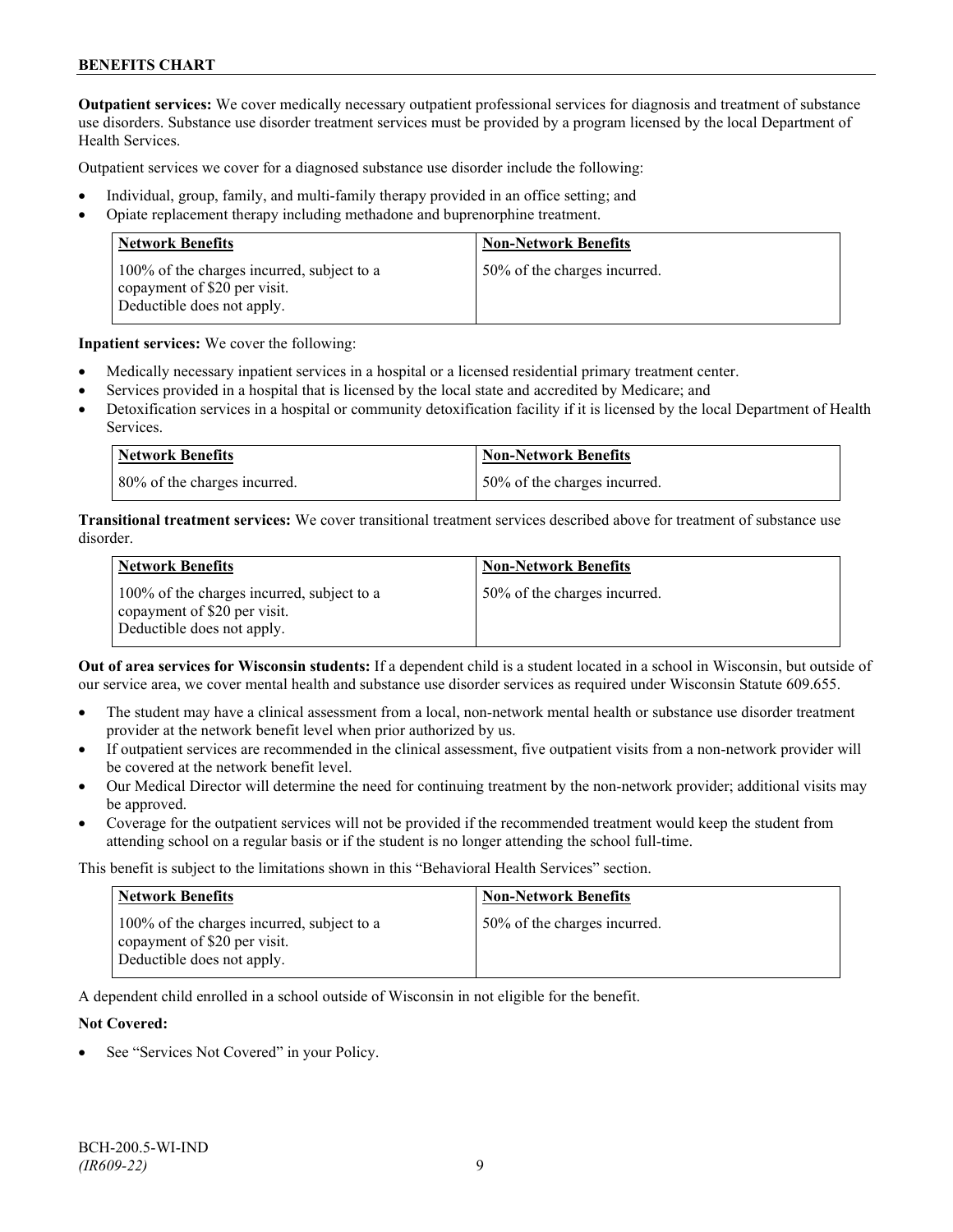**Outpatient services:** We cover medically necessary outpatient professional services for diagnosis and treatment of substance use disorders. Substance use disorder treatment services must be provided by a program licensed by the local Department of Health Services.

Outpatient services we cover for a diagnosed substance use disorder include the following:

- Individual, group, family, and multi-family therapy provided in an office setting; and
- Opiate replacement therapy including methadone and buprenorphine treatment.

| <b>Network Benefits</b>                                                                                  | <b>Non-Network Benefits</b>  |
|----------------------------------------------------------------------------------------------------------|------------------------------|
| 100% of the charges incurred, subject to a<br>copayment of \$20 per visit.<br>Deductible does not apply. | 50% of the charges incurred. |

**Inpatient services:** We cover the following:

- Medically necessary inpatient services in a hospital or a licensed residential primary treatment center.
- Services provided in a hospital that is licensed by the local state and accredited by Medicare; and
- Detoxification services in a hospital or community detoxification facility if it is licensed by the local Department of Health Services.

| <b>Network Benefits</b>      | <b>Non-Network Benefits</b>  |
|------------------------------|------------------------------|
| 80% of the charges incurred. | 50% of the charges incurred. |

**Transitional treatment services:** We cover transitional treatment services described above for treatment of substance use disorder.

| <b>Network Benefits</b>                                                                                  | <b>Non-Network Benefits</b>  |
|----------------------------------------------------------------------------------------------------------|------------------------------|
| 100% of the charges incurred, subject to a<br>copayment of \$20 per visit.<br>Deductible does not apply. | 50% of the charges incurred. |

**Out of area services for Wisconsin students:** If a dependent child is a student located in a school in Wisconsin, but outside of our service area, we cover mental health and substance use disorder services as required under Wisconsin Statute 609.655.

- The student may have a clinical assessment from a local, non-network mental health or substance use disorder treatment provider at the network benefit level when prior authorized by us.
- If outpatient services are recommended in the clinical assessment, five outpatient visits from a non-network provider will be covered at the network benefit level.
- Our Medical Director will determine the need for continuing treatment by the non-network provider; additional visits may be approved.
- Coverage for the outpatient services will not be provided if the recommended treatment would keep the student from attending school on a regular basis or if the student is no longer attending the school full-time.

This benefit is subject to the limitations shown in this "Behavioral Health Services" section.

| <b>Network Benefits</b>                                                                                  | <b>Non-Network Benefits</b>  |
|----------------------------------------------------------------------------------------------------------|------------------------------|
| 100% of the charges incurred, subject to a<br>copayment of \$20 per visit.<br>Deductible does not apply. | 50% of the charges incurred. |

A dependent child enrolled in a school outside of Wisconsin in not eligible for the benefit.

#### **Not Covered:**

See "Services Not Covered" in your Policy.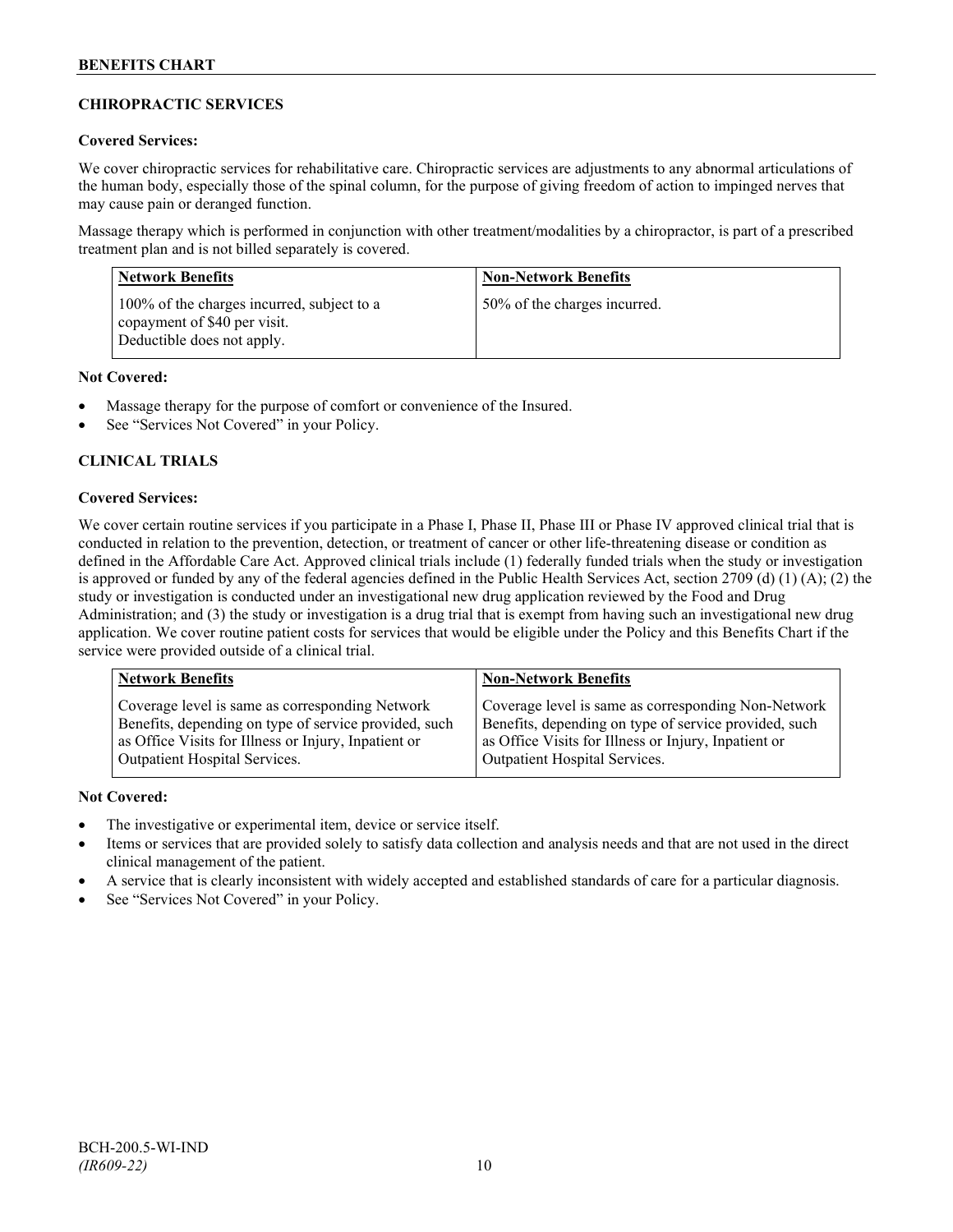## **CHIROPRACTIC SERVICES**

## **Covered Services:**

We cover chiropractic services for rehabilitative care. Chiropractic services are adjustments to any abnormal articulations of the human body, especially those of the spinal column, for the purpose of giving freedom of action to impinged nerves that may cause pain or deranged function.

Massage therapy which is performed in conjunction with other treatment/modalities by a chiropractor, is part of a prescribed treatment plan and is not billed separately is covered.

| <b>Network Benefits</b>                                                                                  | <b>Non-Network Benefits</b>  |
|----------------------------------------------------------------------------------------------------------|------------------------------|
| 100% of the charges incurred, subject to a<br>copayment of \$40 per visit.<br>Deductible does not apply. | 50% of the charges incurred. |

## **Not Covered:**

- Massage therapy for the purpose of comfort or convenience of the Insured.
- See "Services Not Covered" in your Policy.

## **CLINICAL TRIALS**

## **Covered Services:**

We cover certain routine services if you participate in a Phase I, Phase II, Phase III or Phase IV approved clinical trial that is conducted in relation to the prevention, detection, or treatment of cancer or other life-threatening disease or condition as defined in the Affordable Care Act. Approved clinical trials include (1) federally funded trials when the study or investigation is approved or funded by any of the federal agencies defined in the Public Health Services Act, section 2709 (d) (1) (A); (2) the study or investigation is conducted under an investigational new drug application reviewed by the Food and Drug Administration; and (3) the study or investigation is a drug trial that is exempt from having such an investigational new drug application. We cover routine patient costs for services that would be eligible under the Policy and this Benefits Chart if the service were provided outside of a clinical trial.

| <b>Network Benefits</b>                               | <b>Non-Network Benefits</b>                           |
|-------------------------------------------------------|-------------------------------------------------------|
| Coverage level is same as corresponding Network       | Coverage level is same as corresponding Non-Network   |
| Benefits, depending on type of service provided, such | Benefits, depending on type of service provided, such |
| as Office Visits for Illness or Injury, Inpatient or  | as Office Visits for Illness or Injury, Inpatient or  |
| Outpatient Hospital Services.                         | Outpatient Hospital Services.                         |

## **Not Covered:**

- The investigative or experimental item, device or service itself.
- Items or services that are provided solely to satisfy data collection and analysis needs and that are not used in the direct clinical management of the patient.
- A service that is clearly inconsistent with widely accepted and established standards of care for a particular diagnosis.
- See "Services Not Covered" in your Policy.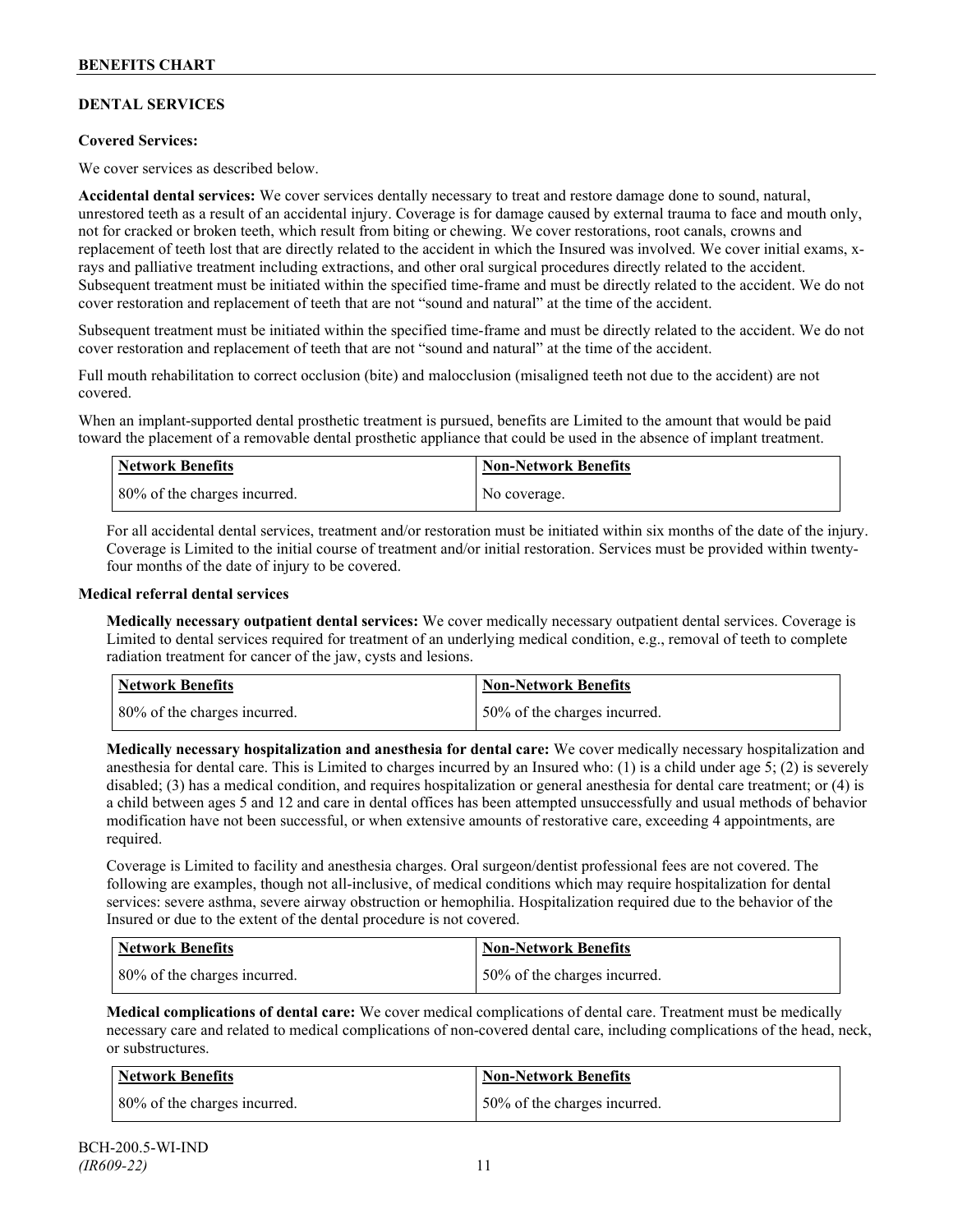## **DENTAL SERVICES**

## **Covered Services:**

We cover services as described below.

**Accidental dental services:** We cover services dentally necessary to treat and restore damage done to sound, natural, unrestored teeth as a result of an accidental injury. Coverage is for damage caused by external trauma to face and mouth only, not for cracked or broken teeth, which result from biting or chewing. We cover restorations, root canals, crowns and replacement of teeth lost that are directly related to the accident in which the Insured was involved. We cover initial exams, xrays and palliative treatment including extractions, and other oral surgical procedures directly related to the accident. Subsequent treatment must be initiated within the specified time-frame and must be directly related to the accident. We do not cover restoration and replacement of teeth that are not "sound and natural" at the time of the accident.

Subsequent treatment must be initiated within the specified time-frame and must be directly related to the accident. We do not cover restoration and replacement of teeth that are not "sound and natural" at the time of the accident.

Full mouth rehabilitation to correct occlusion (bite) and malocclusion (misaligned teeth not due to the accident) are not covered.

When an implant-supported dental prosthetic treatment is pursued, benefits are Limited to the amount that would be paid toward the placement of a removable dental prosthetic appliance that could be used in the absence of implant treatment.

| <b>Network Benefits</b>      | <b>Non-Network Benefits</b> |
|------------------------------|-----------------------------|
| 80% of the charges incurred. | No coverage.                |

For all accidental dental services, treatment and/or restoration must be initiated within six months of the date of the injury. Coverage is Limited to the initial course of treatment and/or initial restoration. Services must be provided within twentyfour months of the date of injury to be covered.

#### **Medical referral dental services**

**Medically necessary outpatient dental services:** We cover medically necessary outpatient dental services. Coverage is Limited to dental services required for treatment of an underlying medical condition, e.g., removal of teeth to complete radiation treatment for cancer of the jaw, cysts and lesions.

| Network Benefits             | <b>Non-Network Benefits</b>  |
|------------------------------|------------------------------|
| 80% of the charges incurred. | 50% of the charges incurred. |

**Medically necessary hospitalization and anesthesia for dental care:** We cover medically necessary hospitalization and anesthesia for dental care. This is Limited to charges incurred by an Insured who: (1) is a child under age 5; (2) is severely disabled; (3) has a medical condition, and requires hospitalization or general anesthesia for dental care treatment; or (4) is a child between ages 5 and 12 and care in dental offices has been attempted unsuccessfully and usual methods of behavior modification have not been successful, or when extensive amounts of restorative care, exceeding 4 appointments, are required.

Coverage is Limited to facility and anesthesia charges. Oral surgeon/dentist professional fees are not covered. The following are examples, though not all-inclusive, of medical conditions which may require hospitalization for dental services: severe asthma, severe airway obstruction or hemophilia. Hospitalization required due to the behavior of the Insured or due to the extent of the dental procedure is not covered.

| <b>Network Benefits</b>      | Non-Network Benefits         |
|------------------------------|------------------------------|
| 80% of the charges incurred. | 50% of the charges incurred. |

**Medical complications of dental care:** We cover medical complications of dental care. Treatment must be medically necessary care and related to medical complications of non-covered dental care, including complications of the head, neck, or substructures.

| Network Benefits             | Non-Network Benefits         |
|------------------------------|------------------------------|
| 80% of the charges incurred. | 50% of the charges incurred. |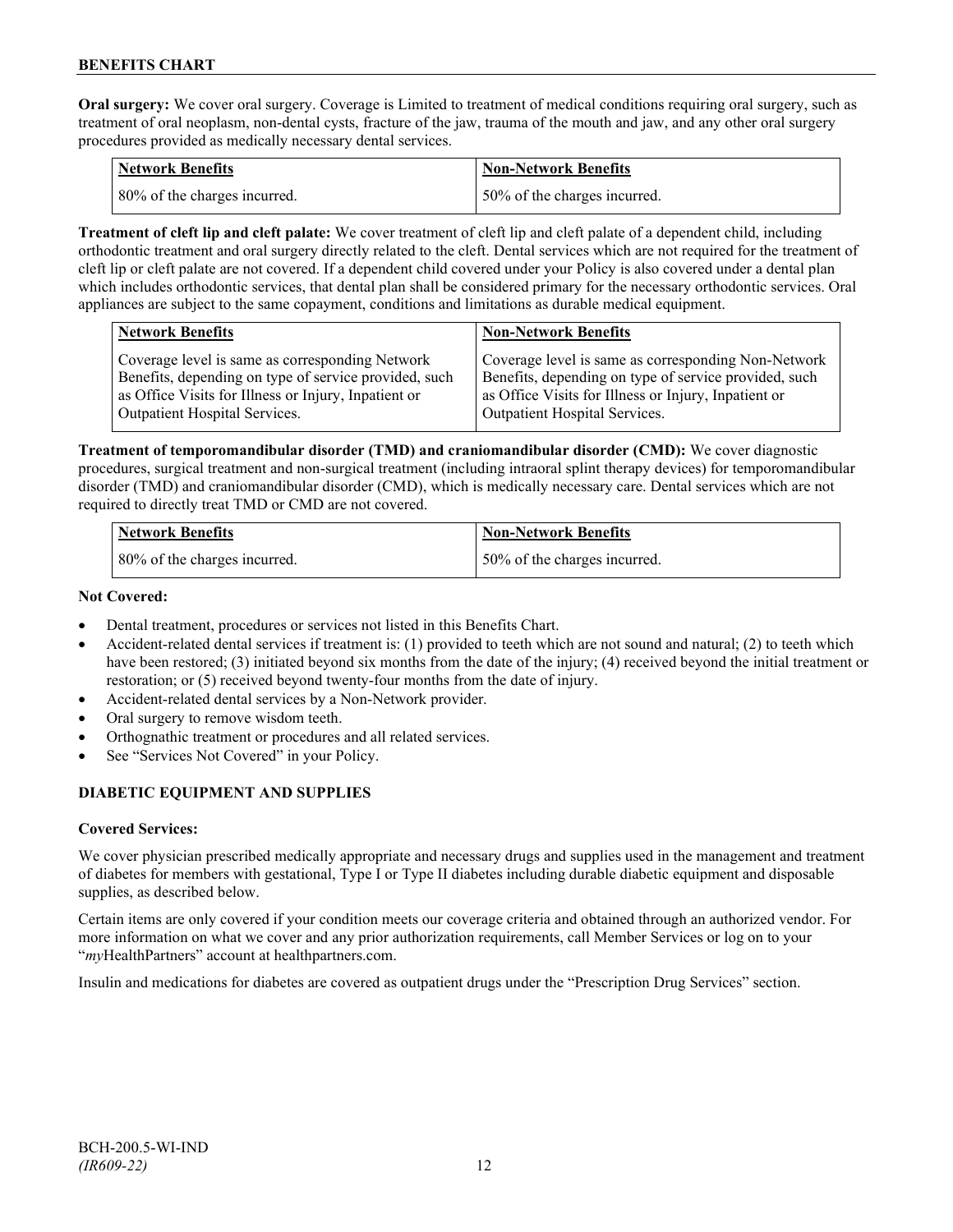**Oral surgery:** We cover oral surgery. Coverage is Limited to treatment of medical conditions requiring oral surgery, such as treatment of oral neoplasm, non-dental cysts, fracture of the jaw, trauma of the mouth and jaw, and any other oral surgery procedures provided as medically necessary dental services.

| Network Benefits             | <b>Non-Network Benefits</b>  |
|------------------------------|------------------------------|
| 80% of the charges incurred. | 50% of the charges incurred. |

**Treatment of cleft lip and cleft palate:** We cover treatment of cleft lip and cleft palate of a dependent child, including orthodontic treatment and oral surgery directly related to the cleft. Dental services which are not required for the treatment of cleft lip or cleft palate are not covered. If a dependent child covered under your Policy is also covered under a dental plan which includes orthodontic services, that dental plan shall be considered primary for the necessary orthodontic services. Oral appliances are subject to the same copayment, conditions and limitations as durable medical equipment.

| <b>Network Benefits</b>                               | <b>Non-Network Benefits</b>                           |
|-------------------------------------------------------|-------------------------------------------------------|
| Coverage level is same as corresponding Network       | Coverage level is same as corresponding Non-Network   |
| Benefits, depending on type of service provided, such | Benefits, depending on type of service provided, such |
| as Office Visits for Illness or Injury, Inpatient or  | as Office Visits for Illness or Injury, Inpatient or  |
| Outpatient Hospital Services.                         | Outpatient Hospital Services.                         |

**Treatment of temporomandibular disorder (TMD) and craniomandibular disorder (CMD):** We cover diagnostic procedures, surgical treatment and non-surgical treatment (including intraoral splint therapy devices) for temporomandibular disorder (TMD) and craniomandibular disorder (CMD), which is medically necessary care. Dental services which are not required to directly treat TMD or CMD are not covered.

| <b>Network Benefits</b>      | Non-Network Benefits         |
|------------------------------|------------------------------|
| 80% of the charges incurred. | 50% of the charges incurred. |

## **Not Covered:**

- Dental treatment, procedures or services not listed in this Benefits Chart.
- Accident-related dental services if treatment is: (1) provided to teeth which are not sound and natural; (2) to teeth which have been restored; (3) initiated beyond six months from the date of the injury; (4) received beyond the initial treatment or restoration; or (5) received beyond twenty-four months from the date of injury.
- Accident-related dental services by a Non-Network provider.
- Oral surgery to remove wisdom teeth.
- Orthognathic treatment or procedures and all related services.
- See "Services Not Covered" in your Policy.

## **DIABETIC EQUIPMENT AND SUPPLIES**

## **Covered Services:**

We cover physician prescribed medically appropriate and necessary drugs and supplies used in the management and treatment of diabetes for members with gestational, Type I or Type II diabetes including durable diabetic equipment and disposable supplies, as described below.

Certain items are only covered if your condition meets our coverage criteria and obtained through an authorized vendor. For more information on what we cover and any prior authorization requirements, call Member Services or log on to your "*my*HealthPartners" account at [healthpartners.com.](http://www.healthpartners.com/)

Insulin and medications for diabetes are covered as outpatient drugs under the "Prescription Drug Services" section.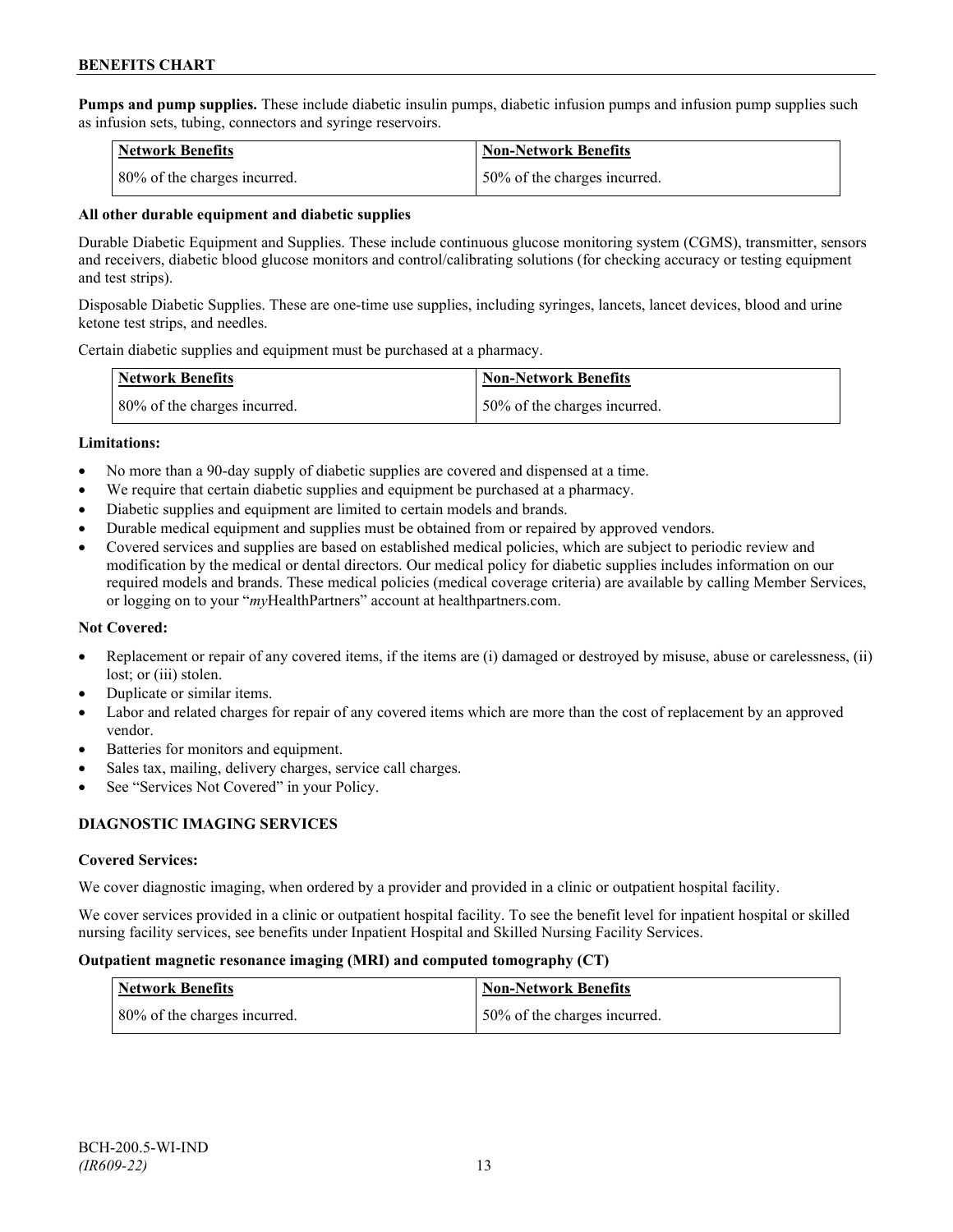**Pumps and pump supplies.** These include diabetic insulin pumps, diabetic infusion pumps and infusion pump supplies such as infusion sets, tubing, connectors and syringe reservoirs.

| <b>Network Benefits</b>      | <b>Non-Network Benefits</b>  |
|------------------------------|------------------------------|
| 80% of the charges incurred. | 50% of the charges incurred. |

#### **All other durable equipment and diabetic supplies**

Durable Diabetic Equipment and Supplies. These include continuous glucose monitoring system (CGMS), transmitter, sensors and receivers, diabetic blood glucose monitors and control/calibrating solutions (for checking accuracy or testing equipment and test strips).

Disposable Diabetic Supplies. These are one-time use supplies, including syringes, lancets, lancet devices, blood and urine ketone test strips, and needles.

Certain diabetic supplies and equipment must be purchased at a pharmacy.

| <b>Network Benefits</b>      | <b>Non-Network Benefits</b>  |
|------------------------------|------------------------------|
| 80% of the charges incurred. | 50% of the charges incurred. |

#### **Limitations:**

- No more than a 90-day supply of diabetic supplies are covered and dispensed at a time.
- We require that certain diabetic supplies and equipment be purchased at a pharmacy.
- Diabetic supplies and equipment are limited to certain models and brands.
- Durable medical equipment and supplies must be obtained from or repaired by approved vendors.
- Covered services and supplies are based on established medical policies, which are subject to periodic review and modification by the medical or dental directors. Our medical policy for diabetic supplies includes information on our required models and brands. These medical policies (medical coverage criteria) are available by calling Member Services, or logging on to your "*my*HealthPartners" account at healthpartners.com.

## **Not Covered:**

- Replacement or repair of any covered items, if the items are (i) damaged or destroyed by misuse, abuse or carelessness, (ii) lost; or (iii) stolen.
- Duplicate or similar items.
- Labor and related charges for repair of any covered items which are more than the cost of replacement by an approved vendor.
- Batteries for monitors and equipment.
- Sales tax, mailing, delivery charges, service call charges.
- See "Services Not Covered" in your Policy.

## **DIAGNOSTIC IMAGING SERVICES**

## **Covered Services:**

We cover diagnostic imaging, when ordered by a provider and provided in a clinic or outpatient hospital facility.

We cover services provided in a clinic or outpatient hospital facility. To see the benefit level for inpatient hospital or skilled nursing facility services, see benefits under Inpatient Hospital and Skilled Nursing Facility Services.

#### **Outpatient magnetic resonance imaging (MRI) and computed tomography (CT)**

| <b>Network Benefits</b>      | <b>Non-Network Benefits</b>   |
|------------------------------|-------------------------------|
| 80% of the charges incurred. | 150% of the charges incurred. |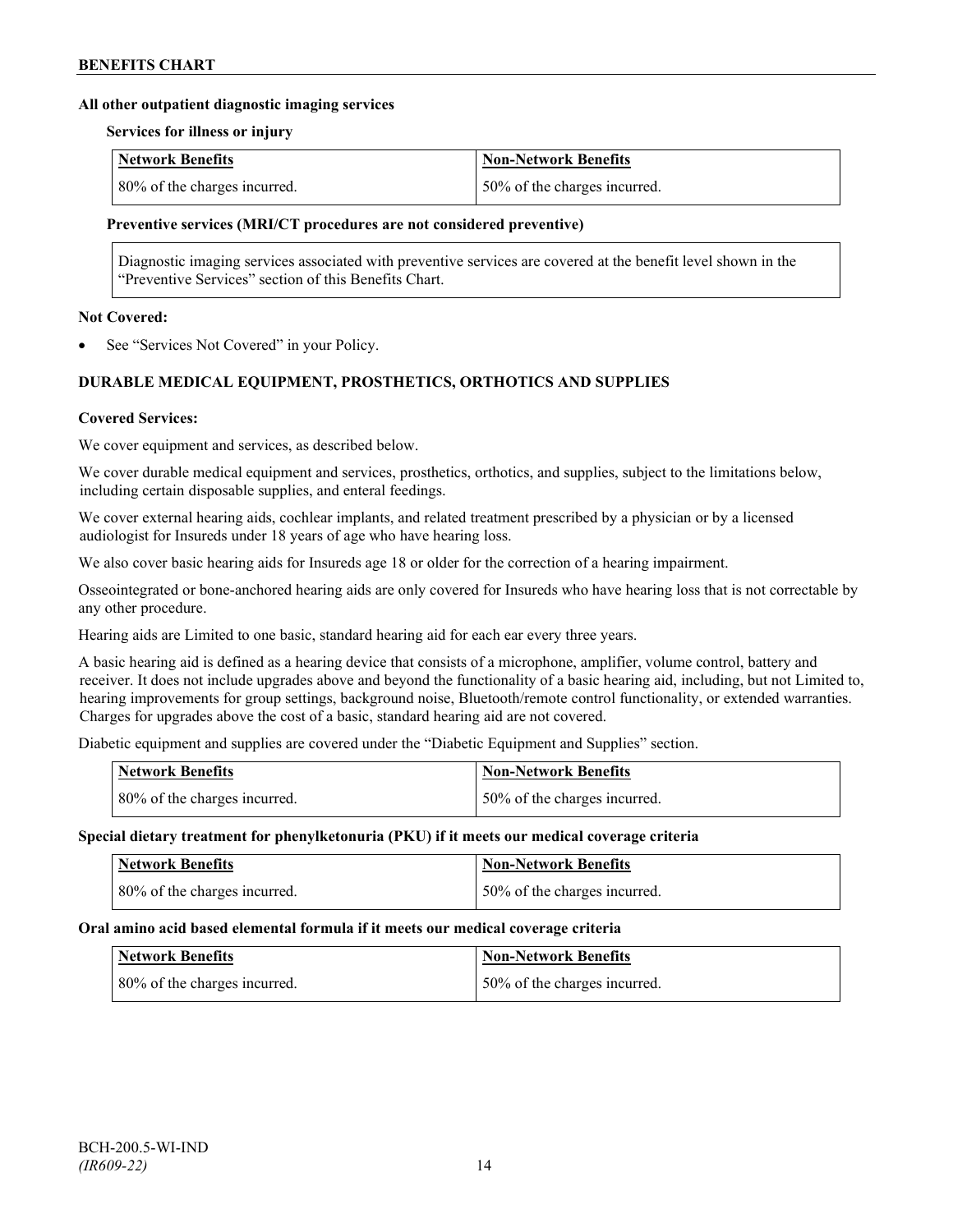#### **All other outpatient diagnostic imaging services**

#### **Services for illness or injury**

| <b>Network Benefits</b>      | Non-Network Benefits          |
|------------------------------|-------------------------------|
| 80% of the charges incurred. | 150% of the charges incurred. |

#### **Preventive services (MRI/CT procedures are not considered preventive)**

Diagnostic imaging services associated with preventive services are covered at the benefit level shown in the "Preventive Services" section of this Benefits Chart.

#### **Not Covered:**

See "Services Not Covered" in your Policy.

## **DURABLE MEDICAL EQUIPMENT, PROSTHETICS, ORTHOTICS AND SUPPLIES**

#### **Covered Services:**

We cover equipment and services, as described below.

We cover durable medical equipment and services, prosthetics, orthotics, and supplies, subject to the limitations below, including certain disposable supplies, and enteral feedings.

We cover external hearing aids, cochlear implants, and related treatment prescribed by a physician or by a licensed audiologist for Insureds under 18 years of age who have hearing loss.

We also cover basic hearing aids for Insureds age 18 or older for the correction of a hearing impairment.

Osseointegrated or bone-anchored hearing aids are only covered for Insureds who have hearing loss that is not correctable by any other procedure.

Hearing aids are Limited to one basic, standard hearing aid for each ear every three years.

A basic hearing aid is defined as a hearing device that consists of a microphone, amplifier, volume control, battery and receiver. It does not include upgrades above and beyond the functionality of a basic hearing aid, including, but not Limited to, hearing improvements for group settings, background noise, Bluetooth/remote control functionality, or extended warranties. Charges for upgrades above the cost of a basic, standard hearing aid are not covered.

Diabetic equipment and supplies are covered under the "Diabetic Equipment and Supplies" section.

| <b>Network Benefits</b>      | Non-Network Benefits         |
|------------------------------|------------------------------|
| 80% of the charges incurred. | 50% of the charges incurred. |

#### **Special dietary treatment for phenylketonuria (PKU) if it meets our medical coverage criteria**

| <b>Network Benefits</b>      | <b>Non-Network Benefits</b>  |
|------------------------------|------------------------------|
| 80% of the charges incurred. | 50% of the charges incurred. |

#### **Oral amino acid based elemental formula if it meets our medical coverage criteria**

| Network Benefits             | <b>Non-Network Benefits</b>  |
|------------------------------|------------------------------|
| 80% of the charges incurred. | 50% of the charges incurred. |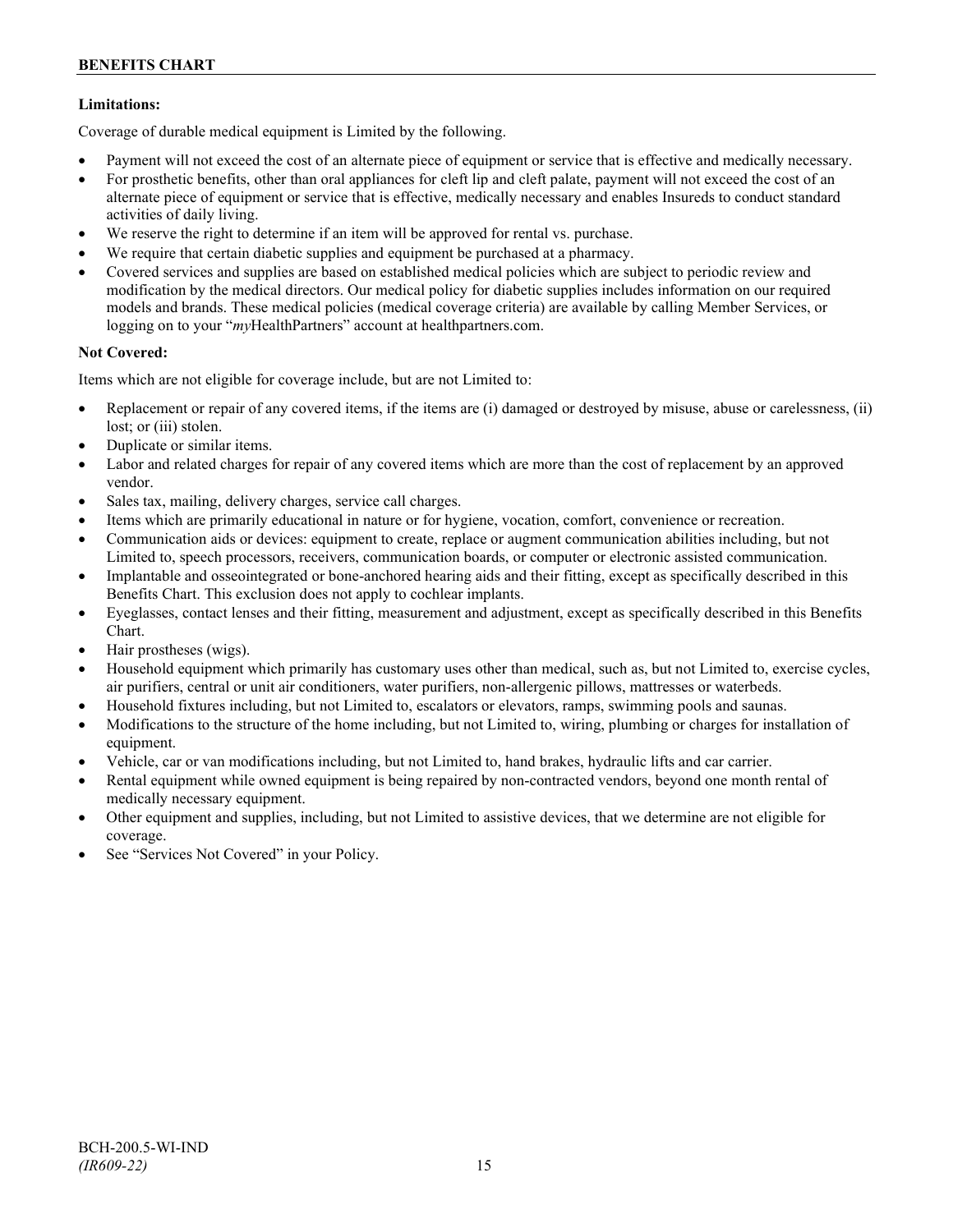## **Limitations:**

Coverage of durable medical equipment is Limited by the following.

- Payment will not exceed the cost of an alternate piece of equipment or service that is effective and medically necessary.
- For prosthetic benefits, other than oral appliances for cleft lip and cleft palate, payment will not exceed the cost of an alternate piece of equipment or service that is effective, medically necessary and enables Insureds to conduct standard activities of daily living.
- We reserve the right to determine if an item will be approved for rental vs. purchase.
- We require that certain diabetic supplies and equipment be purchased at a pharmacy.
- Covered services and supplies are based on established medical policies which are subject to periodic review and modification by the medical directors. Our medical policy for diabetic supplies includes information on our required models and brands. These medical policies (medical coverage criteria) are available by calling Member Services, or logging on to your "*my*HealthPartners" account at [healthpartners.com.](http://www.healthpartners.com/)

## **Not Covered:**

Items which are not eligible for coverage include, but are not Limited to:

- Replacement or repair of any covered items, if the items are (i) damaged or destroyed by misuse, abuse or carelessness, (ii) lost; or (iii) stolen.
- Duplicate or similar items.
- Labor and related charges for repair of any covered items which are more than the cost of replacement by an approved vendor.
- Sales tax, mailing, delivery charges, service call charges.
- Items which are primarily educational in nature or for hygiene, vocation, comfort, convenience or recreation.
- Communication aids or devices: equipment to create, replace or augment communication abilities including, but not Limited to, speech processors, receivers, communication boards, or computer or electronic assisted communication.
- Implantable and osseointegrated or bone-anchored hearing aids and their fitting, except as specifically described in this Benefits Chart. This exclusion does not apply to cochlear implants.
- Eyeglasses, contact lenses and their fitting, measurement and adjustment, except as specifically described in this Benefits Chart.
- Hair prostheses (wigs).
- Household equipment which primarily has customary uses other than medical, such as, but not Limited to, exercise cycles, air purifiers, central or unit air conditioners, water purifiers, non-allergenic pillows, mattresses or waterbeds.
- Household fixtures including, but not Limited to, escalators or elevators, ramps, swimming pools and saunas.
- Modifications to the structure of the home including, but not Limited to, wiring, plumbing or charges for installation of equipment.
- Vehicle, car or van modifications including, but not Limited to, hand brakes, hydraulic lifts and car carrier.
- Rental equipment while owned equipment is being repaired by non-contracted vendors, beyond one month rental of medically necessary equipment.
- Other equipment and supplies, including, but not Limited to assistive devices, that we determine are not eligible for coverage.
- See "Services Not Covered" in your Policy.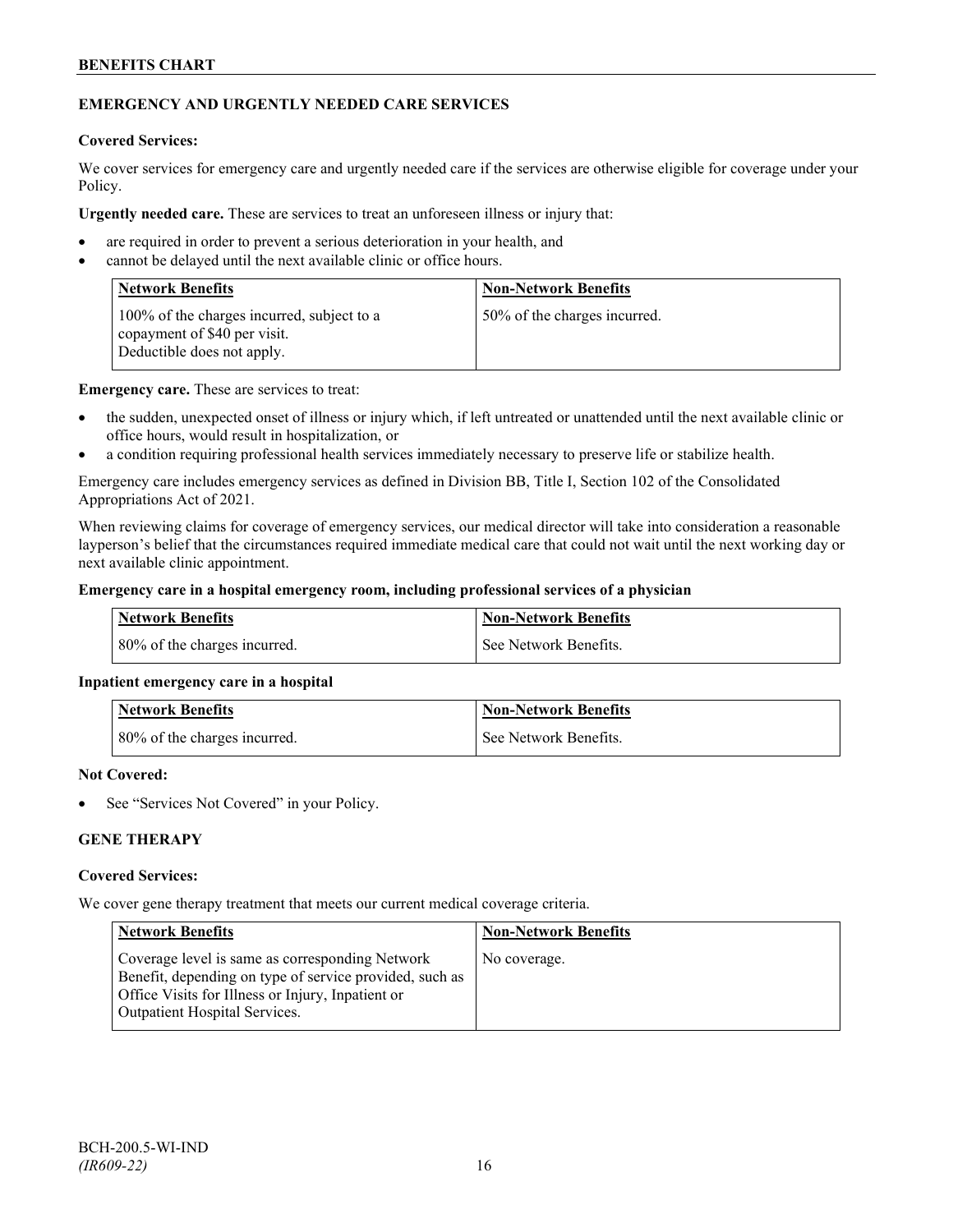## **EMERGENCY AND URGENTLY NEEDED CARE SERVICES**

#### **Covered Services:**

We cover services for emergency care and urgently needed care if the services are otherwise eligible for coverage under your Policy.

**Urgently needed care.** These are services to treat an unforeseen illness or injury that:

- are required in order to prevent a serious deterioration in your health, and
- cannot be delayed until the next available clinic or office hours.

| <b>Network Benefits</b>                                                                                  | <b>Non-Network Benefits</b>  |
|----------------------------------------------------------------------------------------------------------|------------------------------|
| 100% of the charges incurred, subject to a<br>copayment of \$40 per visit.<br>Deductible does not apply. | 50% of the charges incurred. |

**Emergency care.** These are services to treat:

- the sudden, unexpected onset of illness or injury which, if left untreated or unattended until the next available clinic or office hours, would result in hospitalization, or
- a condition requiring professional health services immediately necessary to preserve life or stabilize health.

Emergency care includes emergency services as defined in Division BB, Title I, Section 102 of the Consolidated Appropriations Act of 2021.

When reviewing claims for coverage of emergency services, our medical director will take into consideration a reasonable layperson's belief that the circumstances required immediate medical care that could not wait until the next working day or next available clinic appointment.

#### **Emergency care in a hospital emergency room, including professional services of a physician**

| Network Benefits             | <b>Non-Network Benefits</b> |
|------------------------------|-----------------------------|
| 80% of the charges incurred. | See Network Benefits.       |

## **Inpatient emergency care in a hospital**

| <b>Network Benefits</b>                    | <b>Non-Network Benefits</b> |
|--------------------------------------------|-----------------------------|
| $\frac{1}{2}$ 80% of the charges incurred. | See Network Benefits.       |

#### **Not Covered:**

See "Services Not Covered" in your Policy.

## **GENE THERAPY**

#### **Covered Services:**

We cover gene therapy treatment that meets our current medical coverage criteria.

| <b>Network Benefits</b>                                                                                                                                                                                 | <b>Non-Network Benefits</b> |
|---------------------------------------------------------------------------------------------------------------------------------------------------------------------------------------------------------|-----------------------------|
| Coverage level is same as corresponding Network<br>Benefit, depending on type of service provided, such as<br>Office Visits for Illness or Injury, Inpatient or<br><b>Outpatient Hospital Services.</b> | No coverage.                |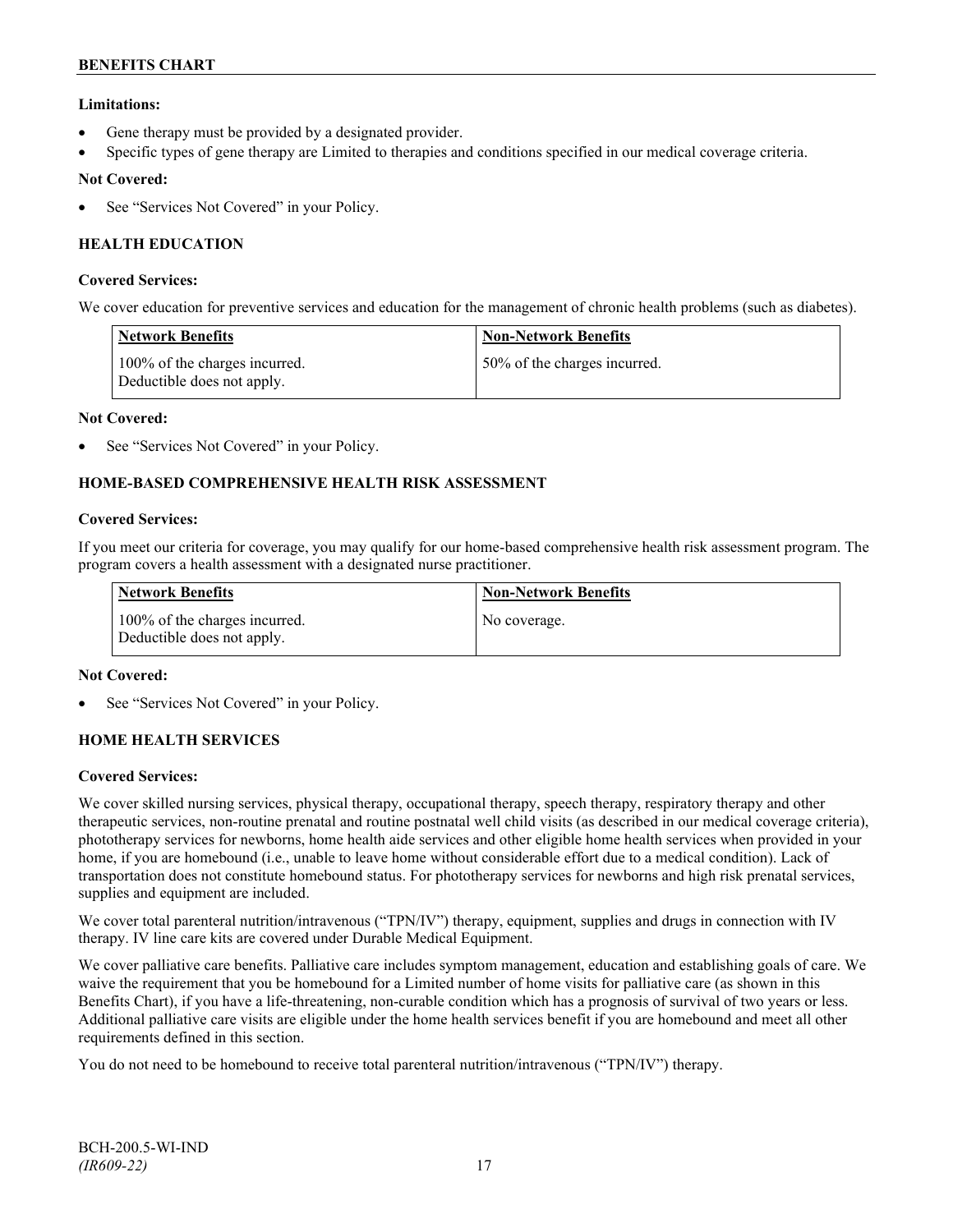## **Limitations:**

- Gene therapy must be provided by a designated provider.
- Specific types of gene therapy are Limited to therapies and conditions specified in our medical coverage criteria.

## **Not Covered:**

See "Services Not Covered" in your Policy.

## **HEALTH EDUCATION**

#### **Covered Services:**

We cover education for preventive services and education for the management of chronic health problems (such as diabetes).

| <b>Network Benefits</b>                                     | <b>Non-Network Benefits</b>  |
|-------------------------------------------------------------|------------------------------|
| 100% of the charges incurred.<br>Deductible does not apply. | 50% of the charges incurred. |

#### **Not Covered:**

See "Services Not Covered" in your Policy.

## **HOME-BASED COMPREHENSIVE HEALTH RISK ASSESSMENT**

#### **Covered Services:**

If you meet our criteria for coverage, you may qualify for our home-based comprehensive health risk assessment program. The program covers a health assessment with a designated nurse practitioner.

| <b>Network Benefits</b>                                     | <b>Non-Network Benefits</b> |
|-------------------------------------------------------------|-----------------------------|
| 100% of the charges incurred.<br>Deductible does not apply. | No coverage.                |

#### **Not Covered:**

See "Services Not Covered" in your Policy.

## **HOME HEALTH SERVICES**

#### **Covered Services:**

We cover skilled nursing services, physical therapy, occupational therapy, speech therapy, respiratory therapy and other therapeutic services, non-routine prenatal and routine postnatal well child visits (as described in our medical coverage criteria), phototherapy services for newborns, home health aide services and other eligible home health services when provided in your home, if you are homebound (i.e., unable to leave home without considerable effort due to a medical condition). Lack of transportation does not constitute homebound status. For phototherapy services for newborns and high risk prenatal services, supplies and equipment are included.

We cover total parenteral nutrition/intravenous ("TPN/IV") therapy, equipment, supplies and drugs in connection with IV therapy. IV line care kits are covered under Durable Medical Equipment.

We cover palliative care benefits. Palliative care includes symptom management, education and establishing goals of care. We waive the requirement that you be homebound for a Limited number of home visits for palliative care (as shown in this Benefits Chart), if you have a life-threatening, non-curable condition which has a prognosis of survival of two years or less. Additional palliative care visits are eligible under the home health services benefit if you are homebound and meet all other requirements defined in this section.

You do not need to be homebound to receive total parenteral nutrition/intravenous ("TPN/IV") therapy.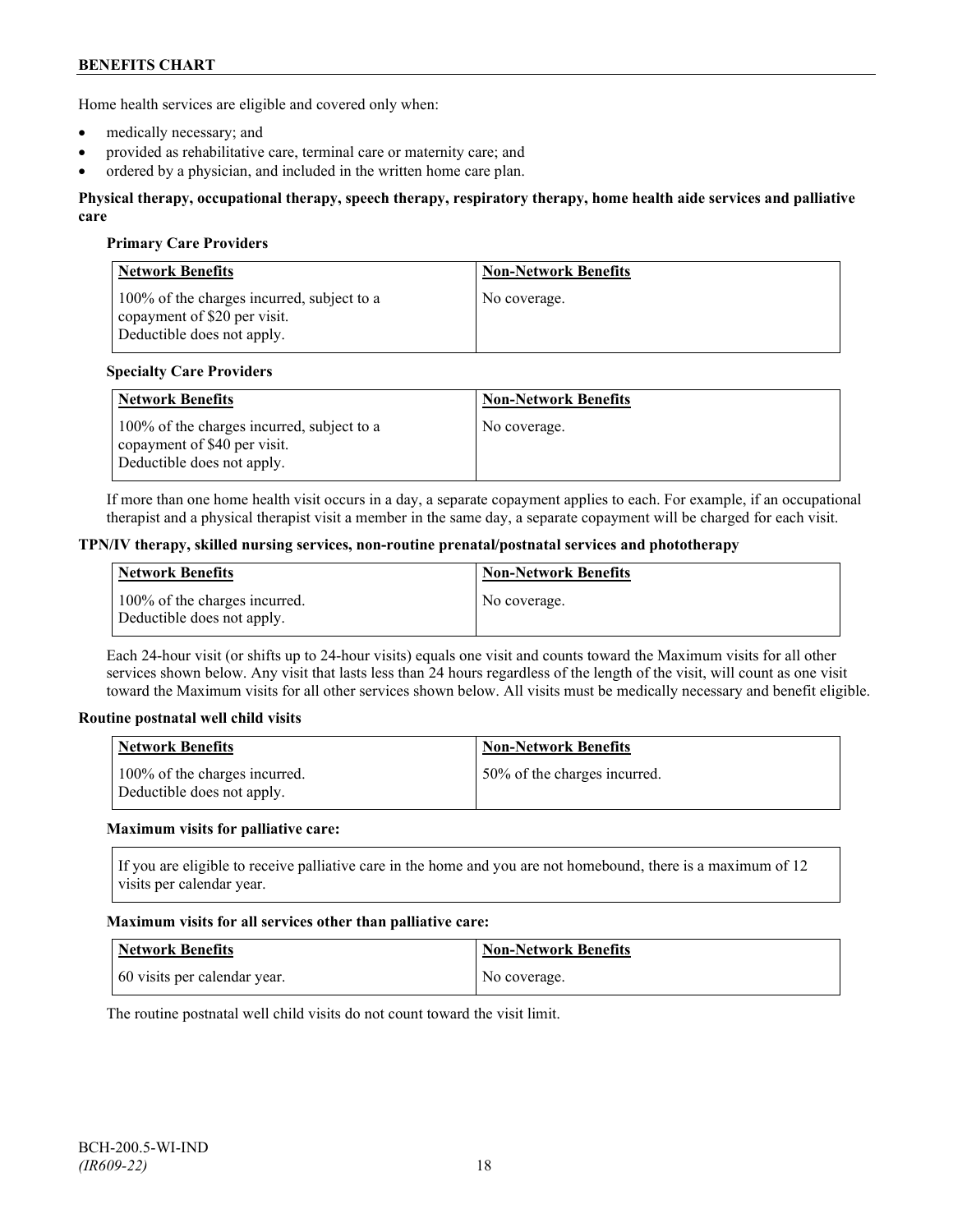Home health services are eligible and covered only when:

- medically necessary; and
- provided as rehabilitative care, terminal care or maternity care; and
- ordered by a physician, and included in the written home care plan.

#### **Physical therapy, occupational therapy, speech therapy, respiratory therapy, home health aide services and palliative care**

#### **Primary Care Providers**

| <b>Network Benefits</b>                                                                                  | <b>Non-Network Benefits</b> |
|----------------------------------------------------------------------------------------------------------|-----------------------------|
| 100% of the charges incurred, subject to a<br>copayment of \$20 per visit.<br>Deductible does not apply. | No coverage.                |

#### **Specialty Care Providers**

| <b>Network Benefits</b>                                                                                  | <b>Non-Network Benefits</b> |
|----------------------------------------------------------------------------------------------------------|-----------------------------|
| 100% of the charges incurred, subject to a<br>copayment of \$40 per visit.<br>Deductible does not apply. | No coverage.                |

If more than one home health visit occurs in a day, a separate copayment applies to each. For example, if an occupational therapist and a physical therapist visit a member in the same day, a separate copayment will be charged for each visit.

#### **TPN/IV therapy, skilled nursing services, non-routine prenatal/postnatal services and phototherapy**

| Network Benefits                                            | <b>Non-Network Benefits</b> |
|-------------------------------------------------------------|-----------------------------|
| 100% of the charges incurred.<br>Deductible does not apply. | No coverage.                |

Each 24-hour visit (or shifts up to 24-hour visits) equals one visit and counts toward the Maximum visits for all other services shown below. Any visit that lasts less than 24 hours regardless of the length of the visit, will count as one visit toward the Maximum visits for all other services shown below. All visits must be medically necessary and benefit eligible.

#### **Routine postnatal well child visits**

| Network Benefits                                            | <b>Non-Network Benefits</b>  |
|-------------------------------------------------------------|------------------------------|
| 100% of the charges incurred.<br>Deductible does not apply. | 50% of the charges incurred. |

#### **Maximum visits for palliative care:**

If you are eligible to receive palliative care in the home and you are not homebound, there is a maximum of 12 visits per calendar year.

#### **Maximum visits for all services other than palliative care:**

| Network Benefits             | <b>Non-Network Benefits</b> |
|------------------------------|-----------------------------|
| 60 visits per calendar year. | No coverage.                |

The routine postnatal well child visits do not count toward the visit limit.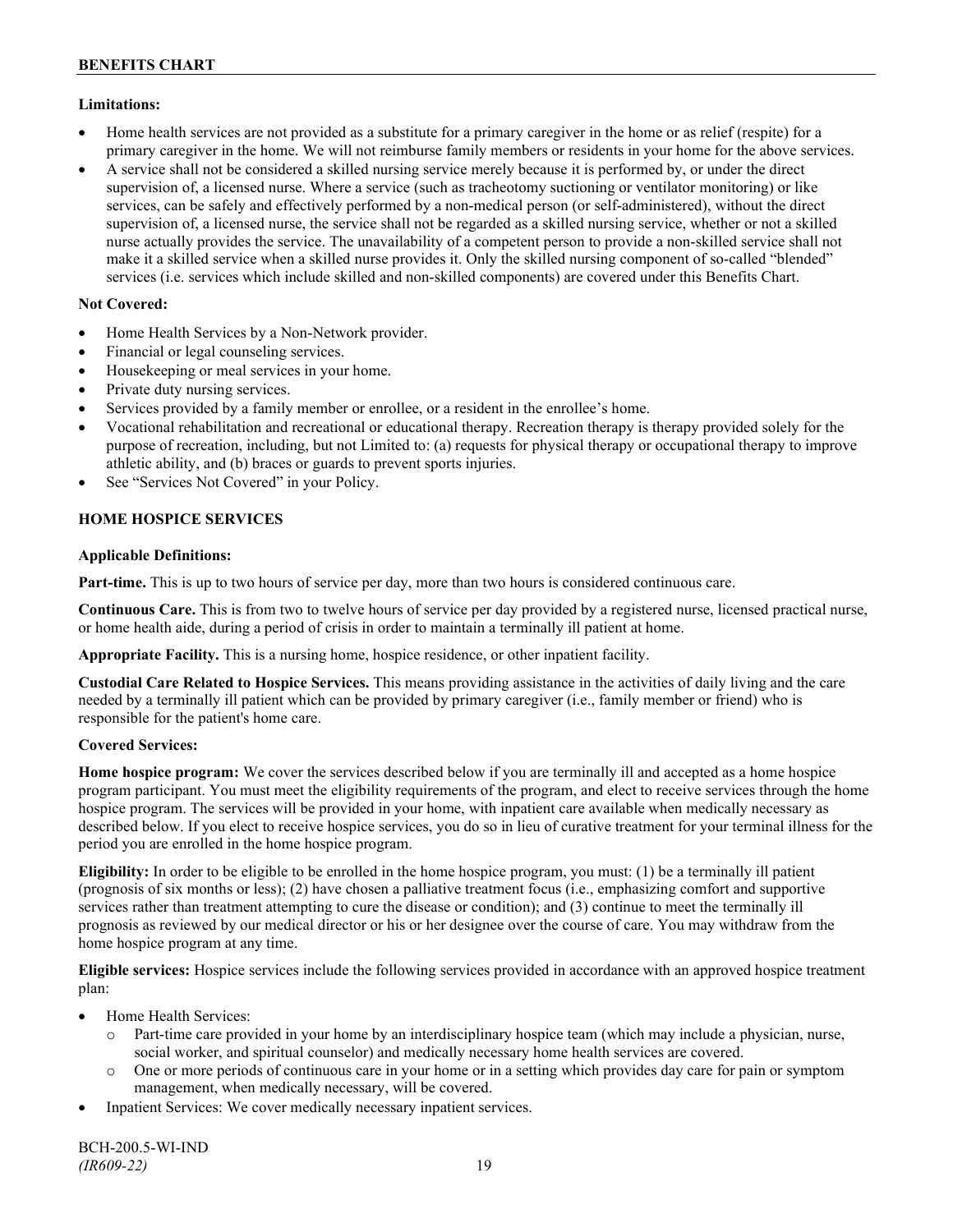## **Limitations:**

- Home health services are not provided as a substitute for a primary caregiver in the home or as relief (respite) for a primary caregiver in the home. We will not reimburse family members or residents in your home for the above services.
- A service shall not be considered a skilled nursing service merely because it is performed by, or under the direct supervision of, a licensed nurse. Where a service (such as tracheotomy suctioning or ventilator monitoring) or like services, can be safely and effectively performed by a non-medical person (or self-administered), without the direct supervision of, a licensed nurse, the service shall not be regarded as a skilled nursing service, whether or not a skilled nurse actually provides the service. The unavailability of a competent person to provide a non-skilled service shall not make it a skilled service when a skilled nurse provides it. Only the skilled nursing component of so-called "blended" services (i.e. services which include skilled and non-skilled components) are covered under this Benefits Chart.

## **Not Covered:**

- Home Health Services by a Non-Network provider.
- Financial or legal counseling services.
- Housekeeping or meal services in your home.
- Private duty nursing services.
- Services provided by a family member or enrollee, or a resident in the enrollee's home.
- Vocational rehabilitation and recreational or educational therapy. Recreation therapy is therapy provided solely for the purpose of recreation, including, but not Limited to: (a) requests for physical therapy or occupational therapy to improve athletic ability, and (b) braces or guards to prevent sports injuries.
- See "Services Not Covered" in your Policy.

## **HOME HOSPICE SERVICES**

## **Applicable Definitions:**

**Part-time.** This is up to two hours of service per day, more than two hours is considered continuous care.

**Continuous Care.** This is from two to twelve hours of service per day provided by a registered nurse, licensed practical nurse, or home health aide, during a period of crisis in order to maintain a terminally ill patient at home.

**Appropriate Facility.** This is a nursing home, hospice residence, or other inpatient facility.

**Custodial Care Related to Hospice Services.** This means providing assistance in the activities of daily living and the care needed by a terminally ill patient which can be provided by primary caregiver (i.e., family member or friend) who is responsible for the patient's home care.

## **Covered Services:**

**Home hospice program:** We cover the services described below if you are terminally ill and accepted as a home hospice program participant. You must meet the eligibility requirements of the program, and elect to receive services through the home hospice program. The services will be provided in your home, with inpatient care available when medically necessary as described below. If you elect to receive hospice services, you do so in lieu of curative treatment for your terminal illness for the period you are enrolled in the home hospice program.

**Eligibility:** In order to be eligible to be enrolled in the home hospice program, you must: (1) be a terminally ill patient (prognosis of six months or less); (2) have chosen a palliative treatment focus (i.e., emphasizing comfort and supportive services rather than treatment attempting to cure the disease or condition); and (3) continue to meet the terminally ill prognosis as reviewed by our medical director or his or her designee over the course of care. You may withdraw from the home hospice program at any time.

**Eligible services:** Hospice services include the following services provided in accordance with an approved hospice treatment plan:

- Home Health Services:
	- o Part-time care provided in your home by an interdisciplinary hospice team (which may include a physician, nurse, social worker, and spiritual counselor) and medically necessary home health services are covered.
	- o One or more periods of continuous care in your home or in a setting which provides day care for pain or symptom management, when medically necessary, will be covered.
- Inpatient Services: We cover medically necessary inpatient services.

BCH-200.5-WI-IND *(IR609-22)* 19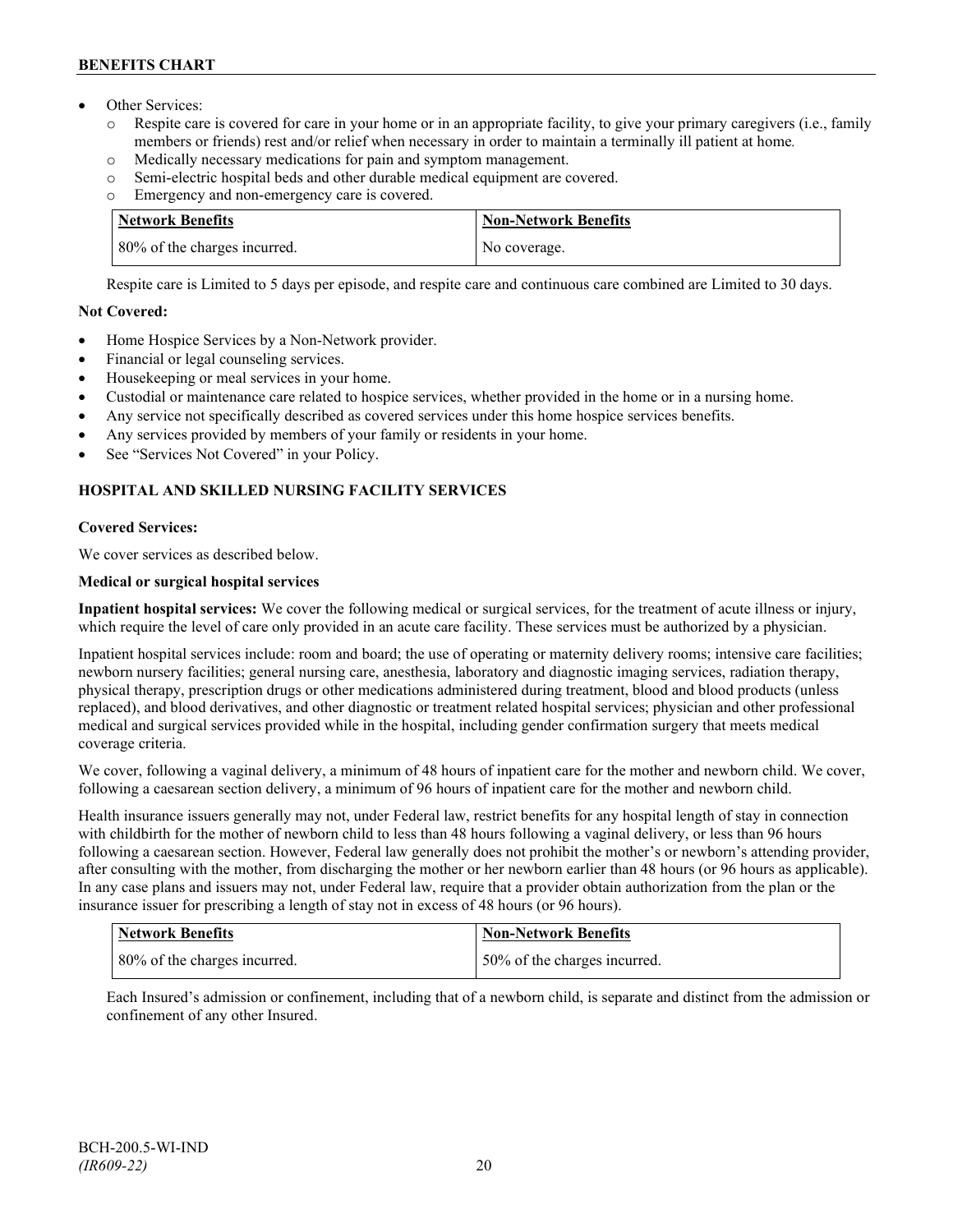- Other Services:
	- o Respite care is covered for care in your home or in an appropriate facility, to give your primary caregivers (i.e., family members or friends) rest and/or relief when necessary in order to maintain a terminally ill patient at home*.*
	- o Medically necessary medications for pain and symptom management.
	- o Semi-electric hospital beds and other durable medical equipment are covered.
	- o Emergency and non-emergency care is covered.

| <b>Network Benefits</b>      | <b>Non-Network Benefits</b> |
|------------------------------|-----------------------------|
| 80% of the charges incurred. | No coverage.                |

Respite care is Limited to 5 days per episode, and respite care and continuous care combined are Limited to 30 days.

## **Not Covered:**

- Home Hospice Services by a Non-Network provider.
- Financial or legal counseling services.
- Housekeeping or meal services in your home.
- Custodial or maintenance care related to hospice services, whether provided in the home or in a nursing home.
- Any service not specifically described as covered services under this home hospice services benefits.
- Any services provided by members of your family or residents in your home.
- See "Services Not Covered" in your Policy.

## **HOSPITAL AND SKILLED NURSING FACILITY SERVICES**

## **Covered Services:**

We cover services as described below.

## **Medical or surgical hospital services**

**Inpatient hospital services:** We cover the following medical or surgical services, for the treatment of acute illness or injury, which require the level of care only provided in an acute care facility. These services must be authorized by a physician.

Inpatient hospital services include: room and board; the use of operating or maternity delivery rooms; intensive care facilities; newborn nursery facilities; general nursing care, anesthesia, laboratory and diagnostic imaging services, radiation therapy, physical therapy, prescription drugs or other medications administered during treatment, blood and blood products (unless replaced), and blood derivatives, and other diagnostic or treatment related hospital services; physician and other professional medical and surgical services provided while in the hospital, including gender confirmation surgery that meets medical coverage criteria.

We cover, following a vaginal delivery, a minimum of 48 hours of inpatient care for the mother and newborn child. We cover, following a caesarean section delivery, a minimum of 96 hours of inpatient care for the mother and newborn child.

Health insurance issuers generally may not, under Federal law, restrict benefits for any hospital length of stay in connection with childbirth for the mother of newborn child to less than 48 hours following a vaginal delivery, or less than 96 hours following a caesarean section. However, Federal law generally does not prohibit the mother's or newborn's attending provider, after consulting with the mother, from discharging the mother or her newborn earlier than 48 hours (or 96 hours as applicable). In any case plans and issuers may not, under Federal law, require that a provider obtain authorization from the plan or the insurance issuer for prescribing a length of stay not in excess of 48 hours (or 96 hours).

| Network Benefits             | <b>Non-Network Benefits</b>  |
|------------------------------|------------------------------|
| 80% of the charges incurred. | 50% of the charges incurred. |

Each Insured's admission or confinement, including that of a newborn child, is separate and distinct from the admission or confinement of any other Insured.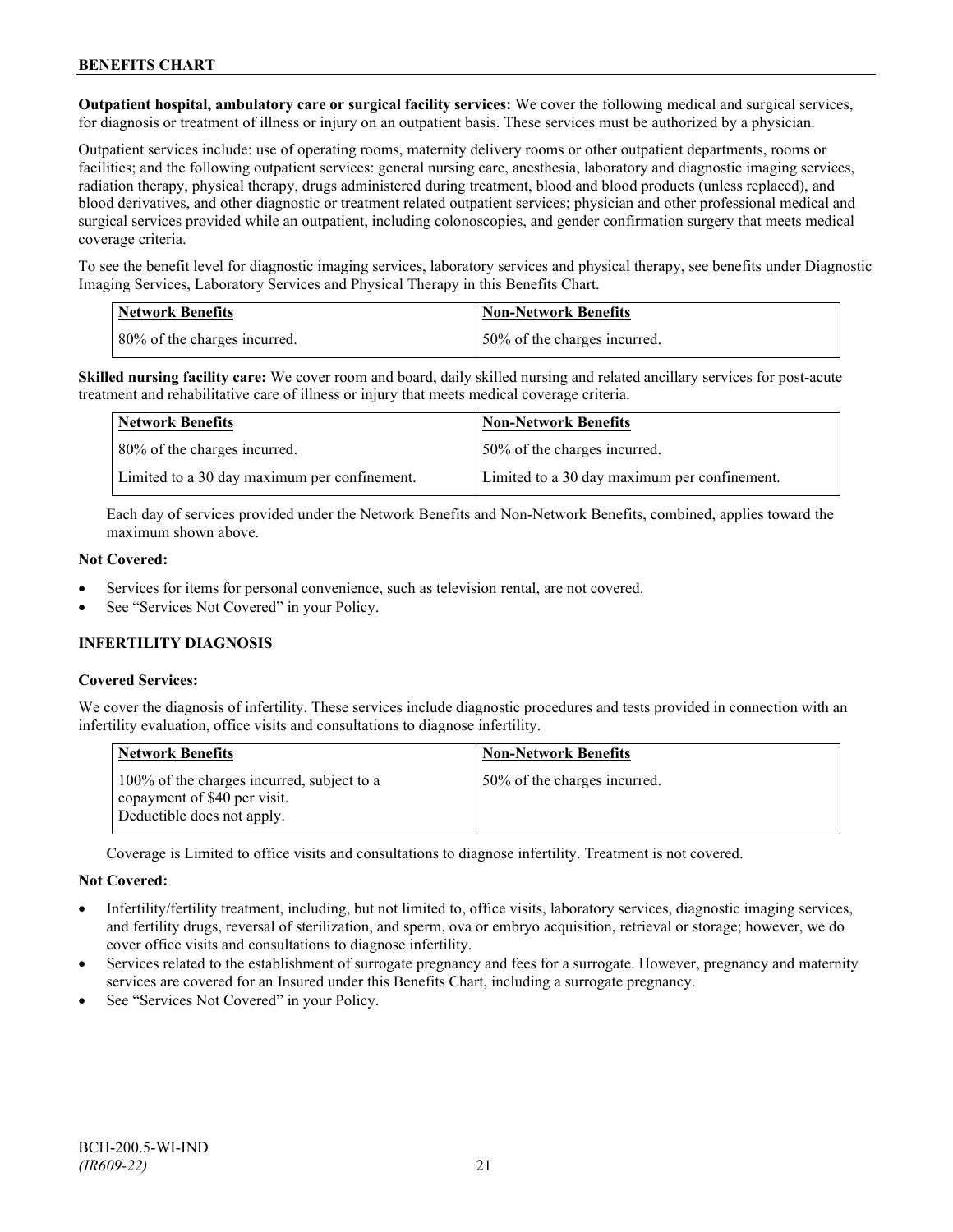**Outpatient hospital, ambulatory care or surgical facility services:** We cover the following medical and surgical services, for diagnosis or treatment of illness or injury on an outpatient basis. These services must be authorized by a physician.

Outpatient services include: use of operating rooms, maternity delivery rooms or other outpatient departments, rooms or facilities; and the following outpatient services: general nursing care, anesthesia, laboratory and diagnostic imaging services, radiation therapy, physical therapy, drugs administered during treatment, blood and blood products (unless replaced), and blood derivatives, and other diagnostic or treatment related outpatient services; physician and other professional medical and surgical services provided while an outpatient, including colonoscopies, and gender confirmation surgery that meets medical coverage criteria.

To see the benefit level for diagnostic imaging services, laboratory services and physical therapy, see benefits under Diagnostic Imaging Services, Laboratory Services and Physical Therapy in this Benefits Chart.

| <b>Network Benefits</b> |                              | <b>Non-Network Benefits</b>  |
|-------------------------|------------------------------|------------------------------|
|                         | 80% of the charges incurred. | 50% of the charges incurred. |

**Skilled nursing facility care:** We cover room and board, daily skilled nursing and related ancillary services for post-acute treatment and rehabilitative care of illness or injury that meets medical coverage criteria.

| Network Benefits                             | <b>Non-Network Benefits</b>                  |
|----------------------------------------------|----------------------------------------------|
| 80% of the charges incurred.                 | 50% of the charges incurred.                 |
| Limited to a 30 day maximum per confinement. | Limited to a 30 day maximum per confinement. |

Each day of services provided under the Network Benefits and Non-Network Benefits, combined, applies toward the maximum shown above.

#### **Not Covered:**

- Services for items for personal convenience, such as television rental, are not covered.
- See "Services Not Covered" in your Policy.

## **INFERTILITY DIAGNOSIS**

## **Covered Services:**

We cover the diagnosis of infertility. These services include diagnostic procedures and tests provided in connection with an infertility evaluation, office visits and consultations to diagnose infertility.

| <b>Network Benefits</b>                                                                                  | <b>Non-Network Benefits</b>  |
|----------------------------------------------------------------------------------------------------------|------------------------------|
| 100% of the charges incurred, subject to a<br>copayment of \$40 per visit.<br>Deductible does not apply. | 50% of the charges incurred. |

Coverage is Limited to office visits and consultations to diagnose infertility. Treatment is not covered.

#### **Not Covered:**

- Infertility/fertility treatment, including, but not limited to, office visits, laboratory services, diagnostic imaging services, and fertility drugs, reversal of sterilization, and sperm, ova or embryo acquisition, retrieval or storage; however, we do cover office visits and consultations to diagnose infertility.
- Services related to the establishment of surrogate pregnancy and fees for a surrogate. However, pregnancy and maternity services are covered for an Insured under this Benefits Chart, including a surrogate pregnancy.
- See "Services Not Covered" in your Policy.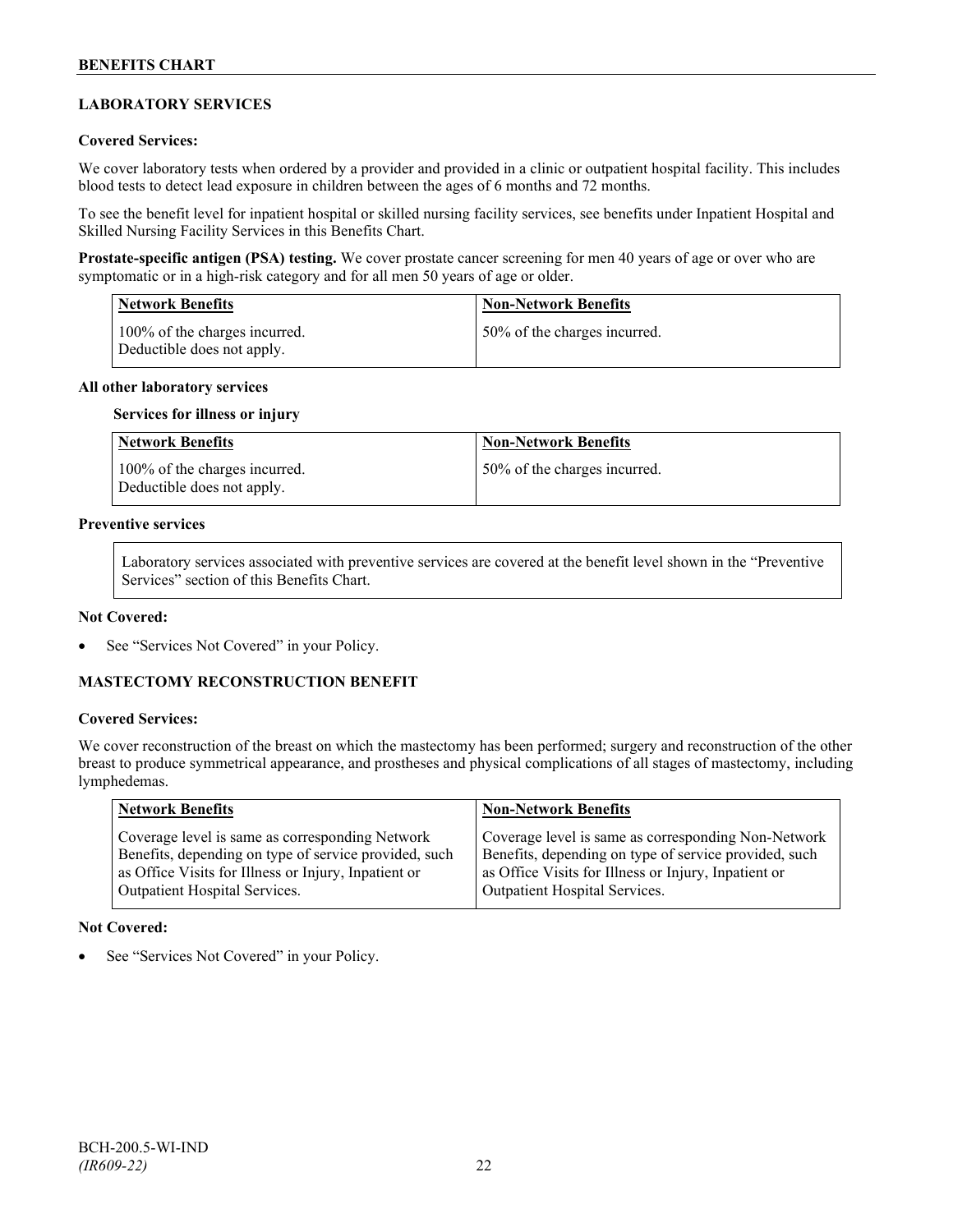## **LABORATORY SERVICES**

#### **Covered Services:**

We cover laboratory tests when ordered by a provider and provided in a clinic or outpatient hospital facility. This includes blood tests to detect lead exposure in children between the ages of 6 months and 72 months.

To see the benefit level for inpatient hospital or skilled nursing facility services, see benefits under Inpatient Hospital and Skilled Nursing Facility Services in this Benefits Chart.

**Prostate-specific antigen (PSA) testing.** We cover prostate cancer screening for men 40 years of age or over who are symptomatic or in a high-risk category and for all men 50 years of age or older.

| <b>Network Benefits</b>                                     | <b>Non-Network Benefits</b>  |
|-------------------------------------------------------------|------------------------------|
| 100% of the charges incurred.<br>Deductible does not apply. | 50% of the charges incurred. |

#### **All other laboratory services**

#### **Services for illness or injury**

| Network Benefits                                            | <b>Non-Network Benefits</b>  |
|-------------------------------------------------------------|------------------------------|
| 100% of the charges incurred.<br>Deductible does not apply. | 50% of the charges incurred. |

## **Preventive services**

Laboratory services associated with preventive services are covered at the benefit level shown in the "Preventive Services" section of this Benefits Chart.

#### **Not Covered:**

See "Services Not Covered" in your Policy.

## **MASTECTOMY RECONSTRUCTION BENEFIT**

#### **Covered Services:**

We cover reconstruction of the breast on which the mastectomy has been performed; surgery and reconstruction of the other breast to produce symmetrical appearance, and prostheses and physical complications of all stages of mastectomy, including lymphedemas.

| Network Benefits                                      | <b>Non-Network Benefits</b>                           |
|-------------------------------------------------------|-------------------------------------------------------|
| Coverage level is same as corresponding Network       | Coverage level is same as corresponding Non-Network   |
| Benefits, depending on type of service provided, such | Benefits, depending on type of service provided, such |
| as Office Visits for Illness or Injury, Inpatient or  | as Office Visits for Illness or Injury, Inpatient or  |
| <b>Outpatient Hospital Services.</b>                  | Outpatient Hospital Services.                         |

#### **Not Covered:**

See "Services Not Covered" in your Policy.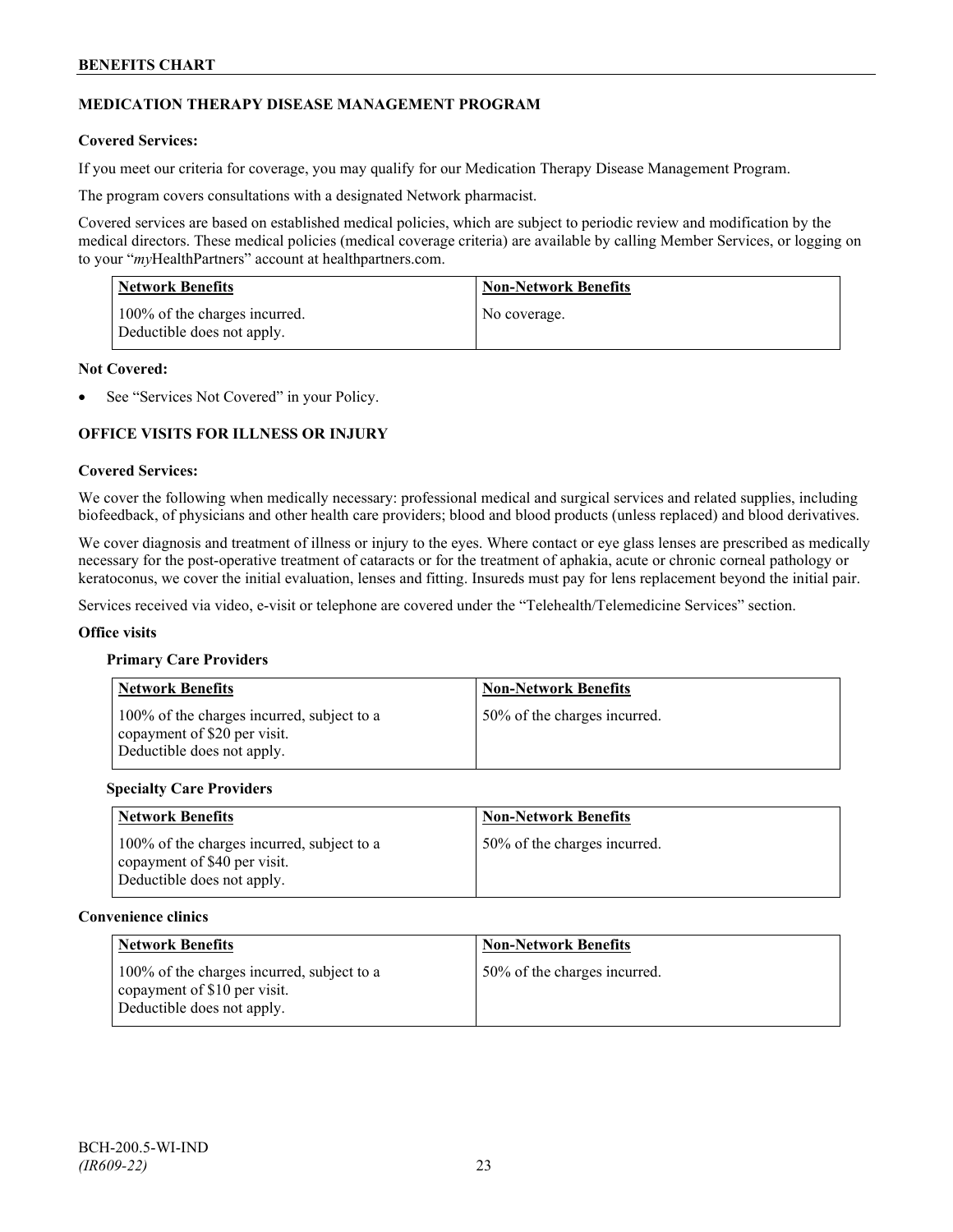## **MEDICATION THERAPY DISEASE MANAGEMENT PROGRAM**

## **Covered Services:**

If you meet our criteria for coverage, you may qualify for our Medication Therapy Disease Management Program.

The program covers consultations with a designated Network pharmacist.

Covered services are based on established medical policies, which are subject to periodic review and modification by the medical directors. These medical policies (medical coverage criteria) are available by calling Member Services, or logging on to your "*my*HealthPartners" account at [healthpartners.com.](http://www.healthpartners.com/)

| <b>Network Benefits</b>                                     | <b>Non-Network Benefits</b> |
|-------------------------------------------------------------|-----------------------------|
| 100% of the charges incurred.<br>Deductible does not apply. | No coverage.                |

#### **Not Covered:**

See "Services Not Covered" in your Policy.

## **OFFICE VISITS FOR ILLNESS OR INJURY**

#### **Covered Services:**

We cover the following when medically necessary: professional medical and surgical services and related supplies, including biofeedback, of physicians and other health care providers; blood and blood products (unless replaced) and blood derivatives.

We cover diagnosis and treatment of illness or injury to the eyes. Where contact or eye glass lenses are prescribed as medically necessary for the post-operative treatment of cataracts or for the treatment of aphakia, acute or chronic corneal pathology or keratoconus, we cover the initial evaluation, lenses and fitting. Insureds must pay for lens replacement beyond the initial pair.

Services received via video, e-visit or telephone are covered under the "Telehealth/Telemedicine Services" section.

#### **Office visits**

#### **Primary Care Providers**

| <b>Network Benefits</b>                                                                                  | <b>Non-Network Benefits</b>  |
|----------------------------------------------------------------------------------------------------------|------------------------------|
| 100% of the charges incurred, subject to a<br>copayment of \$20 per visit.<br>Deductible does not apply. | 50% of the charges incurred. |

#### **Specialty Care Providers**

| <b>Network Benefits</b>                                                                                  | <b>Non-Network Benefits</b>  |
|----------------------------------------------------------------------------------------------------------|------------------------------|
| 100% of the charges incurred, subject to a<br>copayment of \$40 per visit.<br>Deductible does not apply. | 50% of the charges incurred. |

#### **Convenience clinics**

| <b>Network Benefits</b>                                                                                  | <b>Non-Network Benefits</b>  |
|----------------------------------------------------------------------------------------------------------|------------------------------|
| 100% of the charges incurred, subject to a<br>copayment of \$10 per visit.<br>Deductible does not apply. | 50% of the charges incurred. |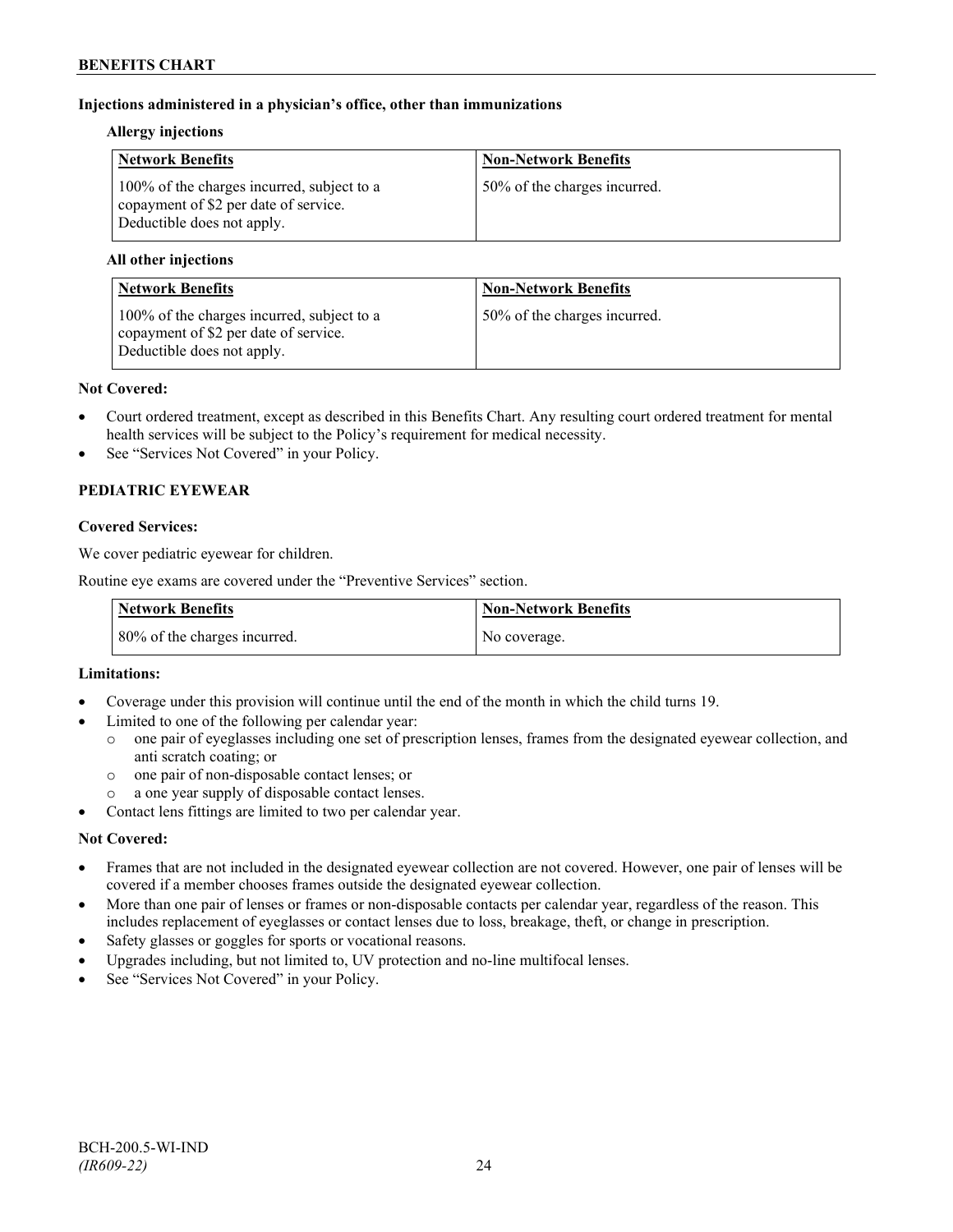## **Injections administered in a physician's office, other than immunizations**

#### **Allergy injections**

| <b>Network Benefits</b>                                                                                           | <b>Non-Network Benefits</b>  |
|-------------------------------------------------------------------------------------------------------------------|------------------------------|
| 100% of the charges incurred, subject to a<br>copayment of \$2 per date of service.<br>Deductible does not apply. | 50% of the charges incurred. |

## **All other injections**

| <b>Network Benefits</b>                                                                                           | <b>Non-Network Benefits</b>  |
|-------------------------------------------------------------------------------------------------------------------|------------------------------|
| 100% of the charges incurred, subject to a<br>copayment of \$2 per date of service.<br>Deductible does not apply. | 50% of the charges incurred. |

#### **Not Covered:**

- Court ordered treatment, except as described in this Benefits Chart. Any resulting court ordered treatment for mental health services will be subject to the Policy's requirement for medical necessity.
- See "Services Not Covered" in your Policy.

## **PEDIATRIC EYEWEAR**

## **Covered Services:**

We cover pediatric eyewear for children.

Routine eye exams are covered under the "Preventive Services" section.

| <b>Network Benefits</b>      | Non-Network Benefits |
|------------------------------|----------------------|
| 80% of the charges incurred. | No coverage.         |

## **Limitations:**

- Coverage under this provision will continue until the end of the month in which the child turns 19.
- Limited to one of the following per calendar year:
	- o one pair of eyeglasses including one set of prescription lenses, frames from the designated eyewear collection, and anti scratch coating; or
	- o one pair of non-disposable contact lenses; or
	- a one year supply of disposable contact lenses.
- Contact lens fittings are limited to two per calendar year.

## **Not Covered:**

- Frames that are not included in the designated eyewear collection are not covered. However, one pair of lenses will be covered if a member chooses frames outside the designated eyewear collection.
- More than one pair of lenses or frames or non-disposable contacts per calendar year, regardless of the reason. This includes replacement of eyeglasses or contact lenses due to loss, breakage, theft, or change in prescription.
- Safety glasses or goggles for sports or vocational reasons.
- Upgrades including, but not limited to, UV protection and no-line multifocal lenses.
- See "Services Not Covered" in your Policy.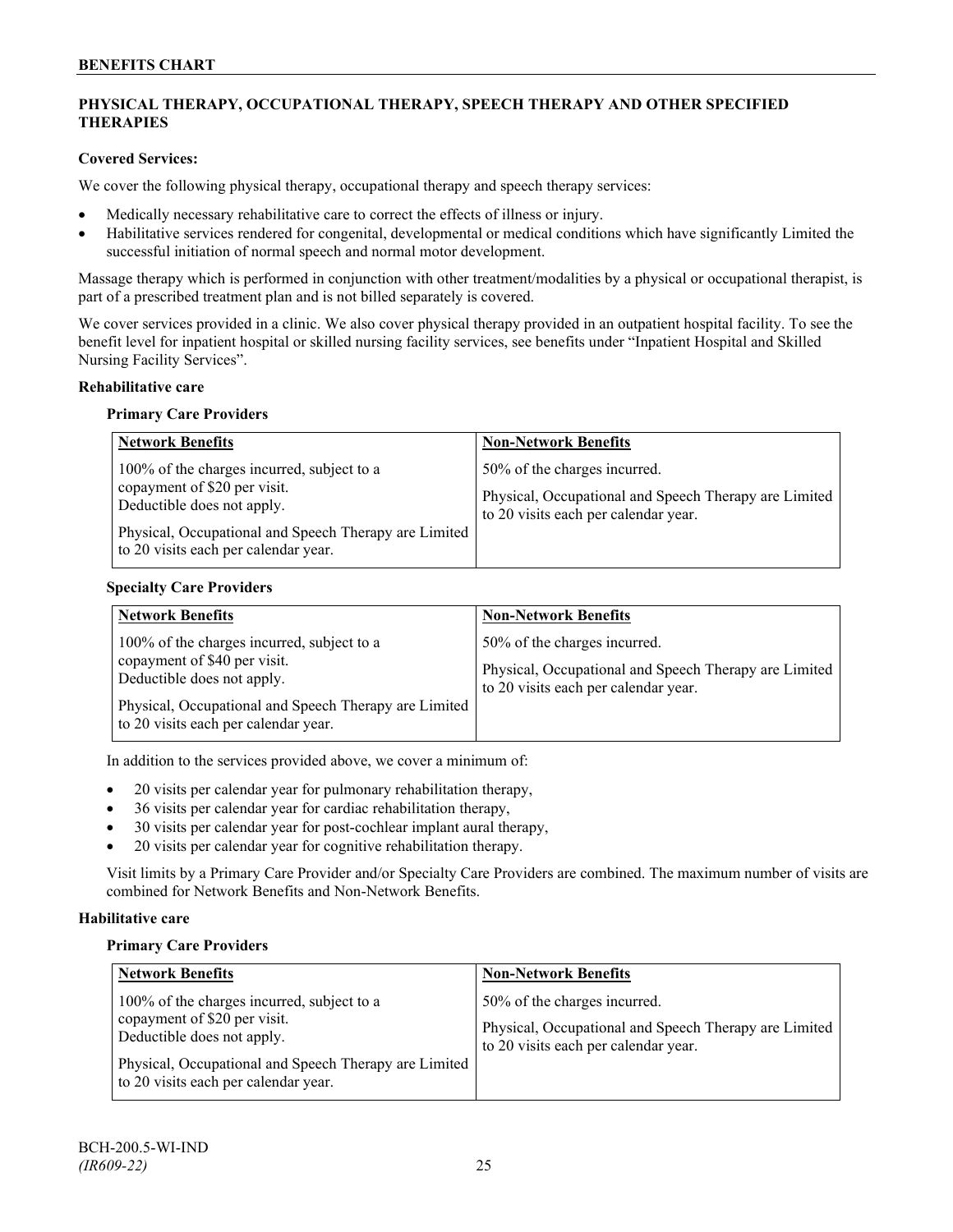## **PHYSICAL THERAPY, OCCUPATIONAL THERAPY, SPEECH THERAPY AND OTHER SPECIFIED THERAPIES**

## **Covered Services:**

We cover the following physical therapy, occupational therapy and speech therapy services:

- Medically necessary rehabilitative care to correct the effects of illness or injury.
- Habilitative services rendered for congenital, developmental or medical conditions which have significantly Limited the successful initiation of normal speech and normal motor development.

Massage therapy which is performed in conjunction with other treatment/modalities by a physical or occupational therapist, is part of a prescribed treatment plan and is not billed separately is covered.

We cover services provided in a clinic. We also cover physical therapy provided in an outpatient hospital facility. To see the benefit level for inpatient hospital or skilled nursing facility services, see benefits under "Inpatient Hospital and Skilled Nursing Facility Services".

## **Rehabilitative care**

#### **Primary Care Providers**

| <b>Network Benefits</b>                                                                                                                                                                                   | <b>Non-Network Benefits</b>                                                                                                   |
|-----------------------------------------------------------------------------------------------------------------------------------------------------------------------------------------------------------|-------------------------------------------------------------------------------------------------------------------------------|
| 100% of the charges incurred, subject to a<br>copayment of \$20 per visit.<br>Deductible does not apply.<br>Physical, Occupational and Speech Therapy are Limited<br>to 20 visits each per calendar year. | 50% of the charges incurred.<br>Physical, Occupational and Speech Therapy are Limited<br>to 20 visits each per calendar year. |

## **Specialty Care Providers**

| <b>Network Benefits</b>                                                                                                                                                                                   | <b>Non-Network Benefits</b>                                                                                                   |
|-----------------------------------------------------------------------------------------------------------------------------------------------------------------------------------------------------------|-------------------------------------------------------------------------------------------------------------------------------|
| 100% of the charges incurred, subject to a<br>copayment of \$40 per visit.<br>Deductible does not apply.<br>Physical, Occupational and Speech Therapy are Limited<br>to 20 visits each per calendar year. | 50% of the charges incurred.<br>Physical, Occupational and Speech Therapy are Limited<br>to 20 visits each per calendar year. |

In addition to the services provided above, we cover a minimum of:

- 20 visits per calendar year for pulmonary rehabilitation therapy,
- 36 visits per calendar year for cardiac rehabilitation therapy,
- 30 visits per calendar year for post-cochlear implant aural therapy,
- 20 visits per calendar year for cognitive rehabilitation therapy.

Visit limits by a Primary Care Provider and/or Specialty Care Providers are combined. The maximum number of visits are combined for Network Benefits and Non-Network Benefits.

## **Habilitative care**

#### **Primary Care Providers**

| <b>Network Benefits</b>                                                                                                                                                                                   | <b>Non-Network Benefits</b>                                                                                                   |
|-----------------------------------------------------------------------------------------------------------------------------------------------------------------------------------------------------------|-------------------------------------------------------------------------------------------------------------------------------|
| 100% of the charges incurred, subject to a<br>copayment of \$20 per visit.<br>Deductible does not apply.<br>Physical, Occupational and Speech Therapy are Limited<br>to 20 visits each per calendar year. | 50% of the charges incurred.<br>Physical, Occupational and Speech Therapy are Limited<br>to 20 visits each per calendar year. |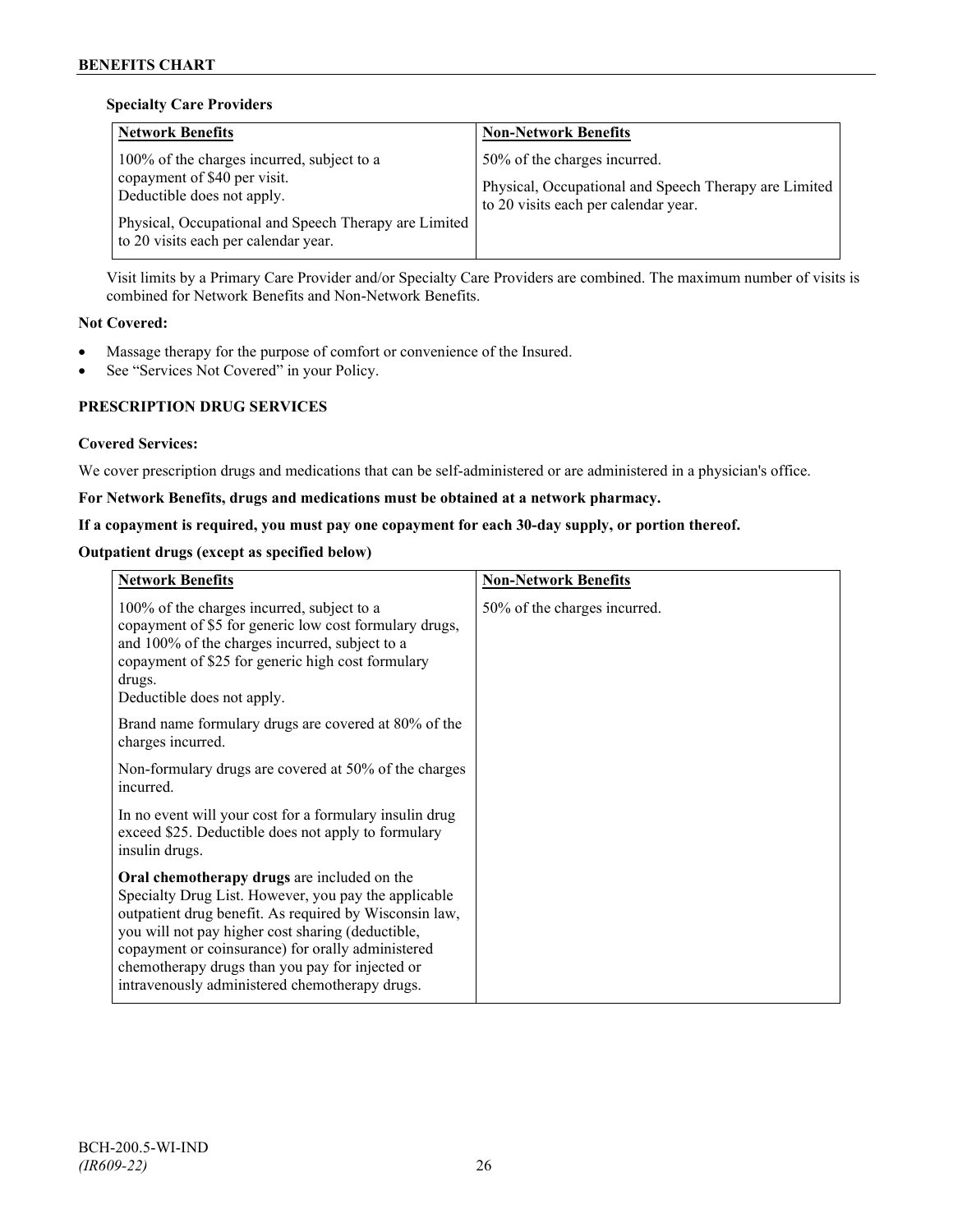## **Specialty Care Providers**

| <b>Network Benefits</b>                                                                                                                                                                                     | <b>Non-Network Benefits</b>                                                                                                   |
|-------------------------------------------------------------------------------------------------------------------------------------------------------------------------------------------------------------|-------------------------------------------------------------------------------------------------------------------------------|
| 100% of the charges incurred, subject to a<br>copayment of \$40 per visit.<br>Deductible does not apply.<br>Physical, Occupational and Speech Therapy are Limited  <br>to 20 visits each per calendar year. | 50% of the charges incurred.<br>Physical, Occupational and Speech Therapy are Limited<br>to 20 visits each per calendar year. |

Visit limits by a Primary Care Provider and/or Specialty Care Providers are combined. The maximum number of visits is combined for Network Benefits and Non-Network Benefits.

## **Not Covered:**

- Massage therapy for the purpose of comfort or convenience of the Insured.
- See "Services Not Covered" in your Policy.

## **PRESCRIPTION DRUG SERVICES**

## **Covered Services:**

We cover prescription drugs and medications that can be self-administered or are administered in a physician's office.

## **For Network Benefits, drugs and medications must be obtained at a network pharmacy.**

## **If a copayment is required, you must pay one copayment for each 30-day supply, or portion thereof.**

## **Outpatient drugs (except as specified below)**

| <b>Network Benefits</b>                                                                                                                                                                                                                                                                                                                                                      | <b>Non-Network Benefits</b>  |
|------------------------------------------------------------------------------------------------------------------------------------------------------------------------------------------------------------------------------------------------------------------------------------------------------------------------------------------------------------------------------|------------------------------|
| 100% of the charges incurred, subject to a<br>copayment of \$5 for generic low cost formulary drugs,<br>and 100% of the charges incurred, subject to a<br>copayment of \$25 for generic high cost formulary<br>drugs.<br>Deductible does not apply.                                                                                                                          | 50% of the charges incurred. |
| Brand name formulary drugs are covered at 80% of the<br>charges incurred.                                                                                                                                                                                                                                                                                                    |                              |
| Non-formulary drugs are covered at 50% of the charges<br>incurred.                                                                                                                                                                                                                                                                                                           |                              |
| In no event will your cost for a formulary insulin drug<br>exceed \$25. Deductible does not apply to formulary<br>insulin drugs.                                                                                                                                                                                                                                             |                              |
| Oral chemotherapy drugs are included on the<br>Specialty Drug List. However, you pay the applicable<br>outpatient drug benefit. As required by Wisconsin law,<br>you will not pay higher cost sharing (deductible,<br>copayment or coinsurance) for orally administered<br>chemotherapy drugs than you pay for injected or<br>intravenously administered chemotherapy drugs. |                              |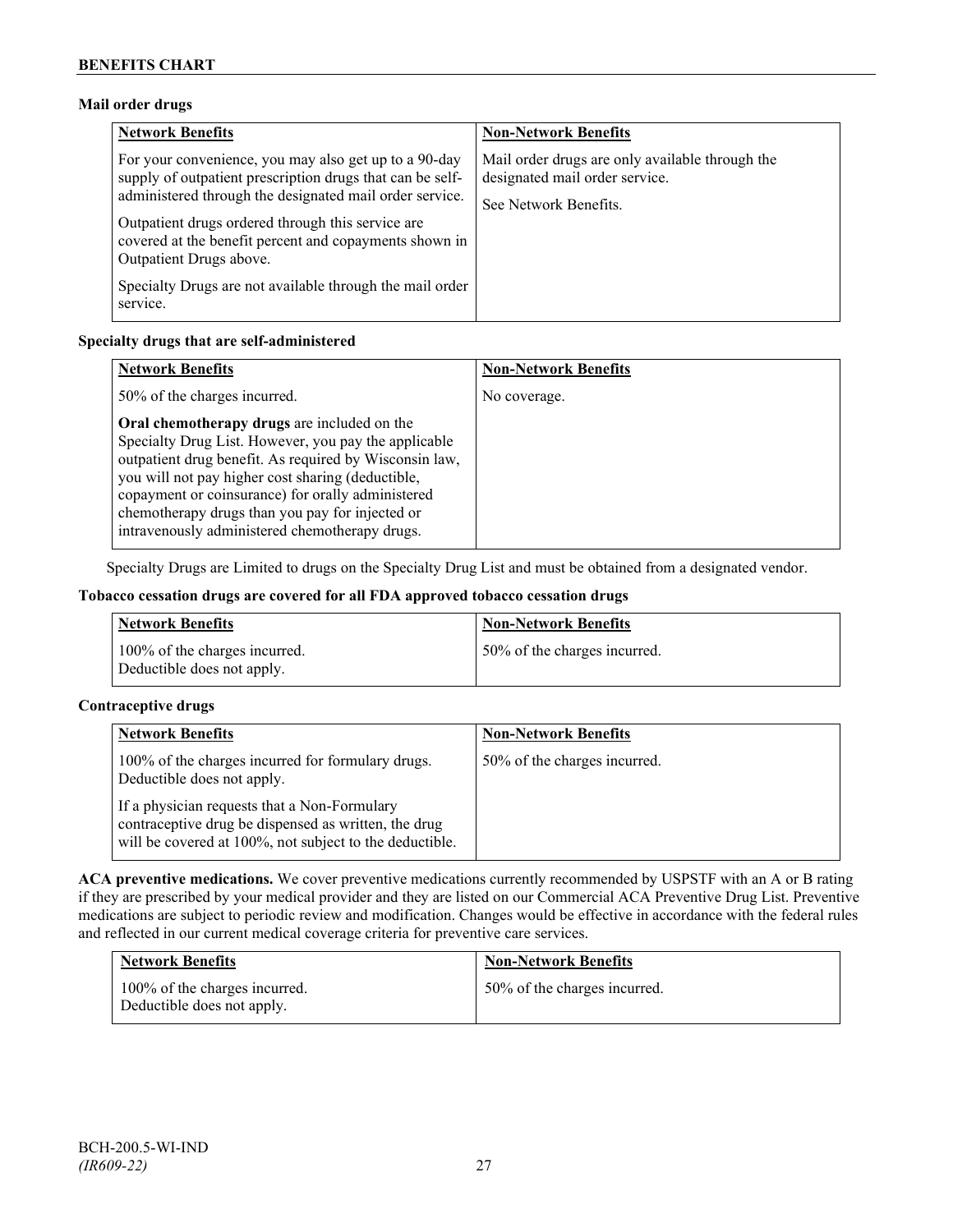## **Mail order drugs**

| <b>Network Benefits</b>                                                                                                                                                                                                                                                                                                 | <b>Non-Network Benefits</b>                                                                                |
|-------------------------------------------------------------------------------------------------------------------------------------------------------------------------------------------------------------------------------------------------------------------------------------------------------------------------|------------------------------------------------------------------------------------------------------------|
| For your convenience, you may also get up to a 90-day<br>supply of outpatient prescription drugs that can be self-<br>administered through the designated mail order service.<br>Outpatient drugs ordered through this service are<br>covered at the benefit percent and copayments shown in<br>Outpatient Drugs above. | Mail order drugs are only available through the<br>designated mail order service.<br>See Network Benefits. |
| Specialty Drugs are not available through the mail order<br>service.                                                                                                                                                                                                                                                    |                                                                                                            |

## **Specialty drugs that are self-administered**

| <b>Network Benefits</b>                                                                                                                                                                                                                                                                                                                                                      | <b>Non-Network Benefits</b> |
|------------------------------------------------------------------------------------------------------------------------------------------------------------------------------------------------------------------------------------------------------------------------------------------------------------------------------------------------------------------------------|-----------------------------|
| 50% of the charges incurred.                                                                                                                                                                                                                                                                                                                                                 | No coverage.                |
| Oral chemotherapy drugs are included on the<br>Specialty Drug List. However, you pay the applicable<br>outpatient drug benefit. As required by Wisconsin law,<br>you will not pay higher cost sharing (deductible,<br>copayment or coinsurance) for orally administered<br>chemotherapy drugs than you pay for injected or<br>intravenously administered chemotherapy drugs. |                             |

Specialty Drugs are Limited to drugs on the Specialty Drug List and must be obtained from a designated vendor.

## **Tobacco cessation drugs are covered for all FDA approved tobacco cessation drugs**

| <b>Network Benefits</b>                                     | <b>Non-Network Benefits</b>  |
|-------------------------------------------------------------|------------------------------|
| 100% of the charges incurred.<br>Deductible does not apply. | 50% of the charges incurred. |

## **Contraceptive drugs**

| <b>Network Benefits</b>                                                                                                                                         | <b>Non-Network Benefits</b>  |
|-----------------------------------------------------------------------------------------------------------------------------------------------------------------|------------------------------|
| 100% of the charges incurred for formulary drugs.<br>Deductible does not apply.                                                                                 | 50% of the charges incurred. |
| If a physician requests that a Non-Formulary<br>contraceptive drug be dispensed as written, the drug<br>will be covered at 100%, not subject to the deductible. |                              |

**ACA preventive medications.** We cover preventive medications currently recommended by USPSTF with an A or B rating if they are prescribed by your medical provider and they are listed on our Commercial ACA Preventive Drug List. Preventive medications are subject to periodic review and modification. Changes would be effective in accordance with the federal rules and reflected in our current medical coverage criteria for preventive care services.

| <b>Network Benefits</b>                                     | <b>Non-Network Benefits</b>  |
|-------------------------------------------------------------|------------------------------|
| 100% of the charges incurred.<br>Deductible does not apply. | 50% of the charges incurred. |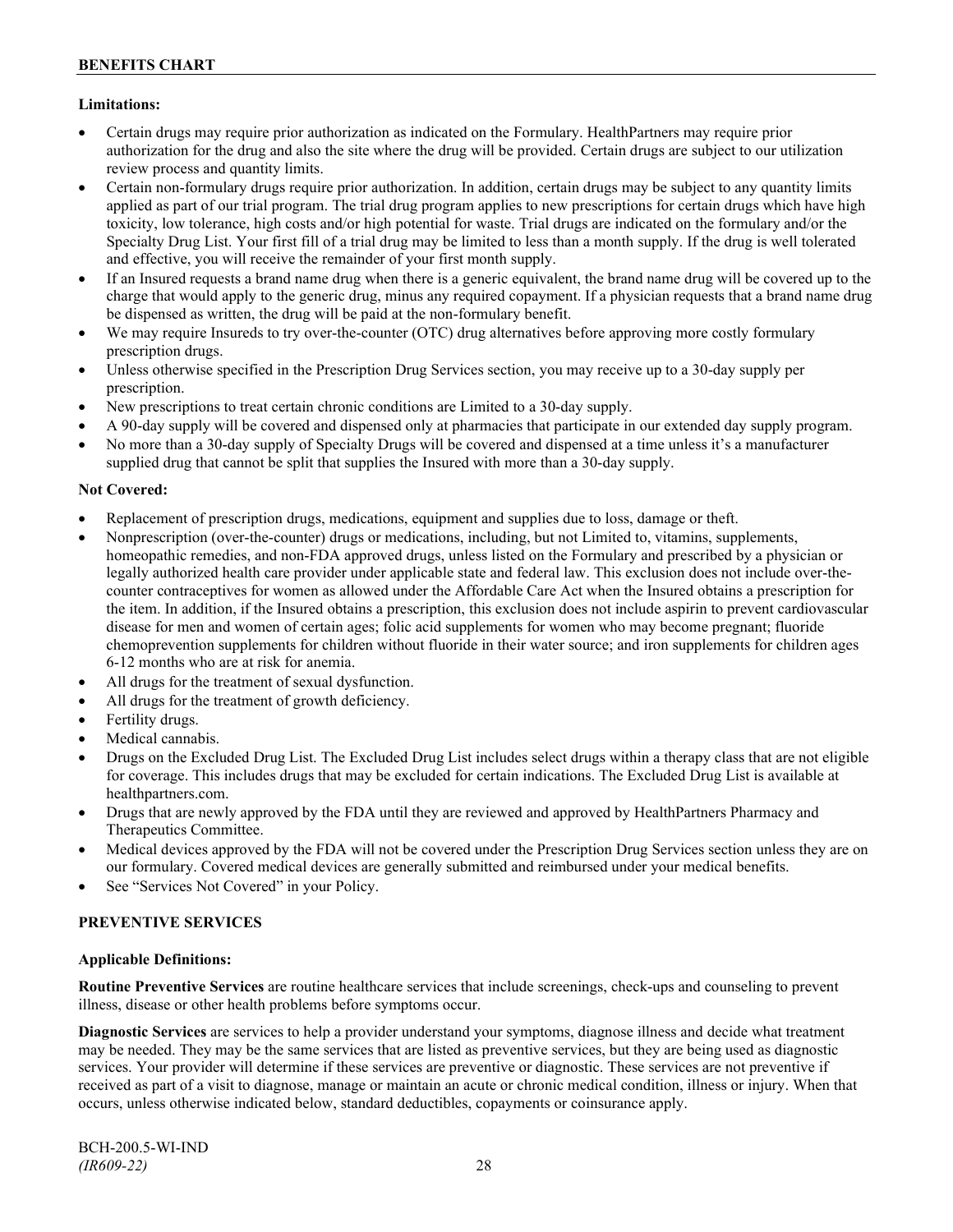## **Limitations:**

- Certain drugs may require prior authorization as indicated on the Formulary. HealthPartners may require prior authorization for the drug and also the site where the drug will be provided. Certain drugs are subject to our utilization review process and quantity limits.
- Certain non-formulary drugs require prior authorization. In addition, certain drugs may be subject to any quantity limits applied as part of our trial program. The trial drug program applies to new prescriptions for certain drugs which have high toxicity, low tolerance, high costs and/or high potential for waste. Trial drugs are indicated on the formulary and/or the Specialty Drug List. Your first fill of a trial drug may be limited to less than a month supply. If the drug is well tolerated and effective, you will receive the remainder of your first month supply.
- If an Insured requests a brand name drug when there is a generic equivalent, the brand name drug will be covered up to the charge that would apply to the generic drug, minus any required copayment. If a physician requests that a brand name drug be dispensed as written, the drug will be paid at the non-formulary benefit.
- We may require Insureds to try over-the-counter (OTC) drug alternatives before approving more costly formulary prescription drugs.
- Unless otherwise specified in the Prescription Drug Services section, you may receive up to a 30-day supply per prescription.
- New prescriptions to treat certain chronic conditions are Limited to a 30-day supply.
- A 90-day supply will be covered and dispensed only at pharmacies that participate in our extended day supply program.
- No more than a 30-day supply of Specialty Drugs will be covered and dispensed at a time unless it's a manufacturer supplied drug that cannot be split that supplies the Insured with more than a 30-day supply.

## **Not Covered:**

- Replacement of prescription drugs, medications, equipment and supplies due to loss, damage or theft.
- Nonprescription (over-the-counter) drugs or medications, including, but not Limited to, vitamins, supplements, homeopathic remedies, and non-FDA approved drugs, unless listed on the Formulary and prescribed by a physician or legally authorized health care provider under applicable state and federal law. This exclusion does not include over-thecounter contraceptives for women as allowed under the Affordable Care Act when the Insured obtains a prescription for the item. In addition, if the Insured obtains a prescription, this exclusion does not include aspirin to prevent cardiovascular disease for men and women of certain ages; folic acid supplements for women who may become pregnant; fluoride chemoprevention supplements for children without fluoride in their water source; and iron supplements for children ages 6-12 months who are at risk for anemia.
- All drugs for the treatment of sexual dysfunction.
- All drugs for the treatment of growth deficiency.
- Fertility drugs.
- Medical cannabis.
- Drugs on the Excluded Drug List. The Excluded Drug List includes select drugs within a therapy class that are not eligible for coverage. This includes drugs that may be excluded for certain indications. The Excluded Drug List is available at [healthpartners.com.](http://www.healthpartners.com/)
- Drugs that are newly approved by the FDA until they are reviewed and approved by HealthPartners Pharmacy and Therapeutics Committee.
- Medical devices approved by the FDA will not be covered under the Prescription Drug Services section unless they are on our formulary. Covered medical devices are generally submitted and reimbursed under your medical benefits.
- See "Services Not Covered" in your Policy.

## **PREVENTIVE SERVICES**

## **Applicable Definitions:**

**Routine Preventive Services** are routine healthcare services that include screenings, check-ups and counseling to prevent illness, disease or other health problems before symptoms occur.

**Diagnostic Services** are services to help a provider understand your symptoms, diagnose illness and decide what treatment may be needed. They may be the same services that are listed as preventive services, but they are being used as diagnostic services. Your provider will determine if these services are preventive or diagnostic. These services are not preventive if received as part of a visit to diagnose, manage or maintain an acute or chronic medical condition, illness or injury. When that occurs, unless otherwise indicated below, standard deductibles, copayments or coinsurance apply.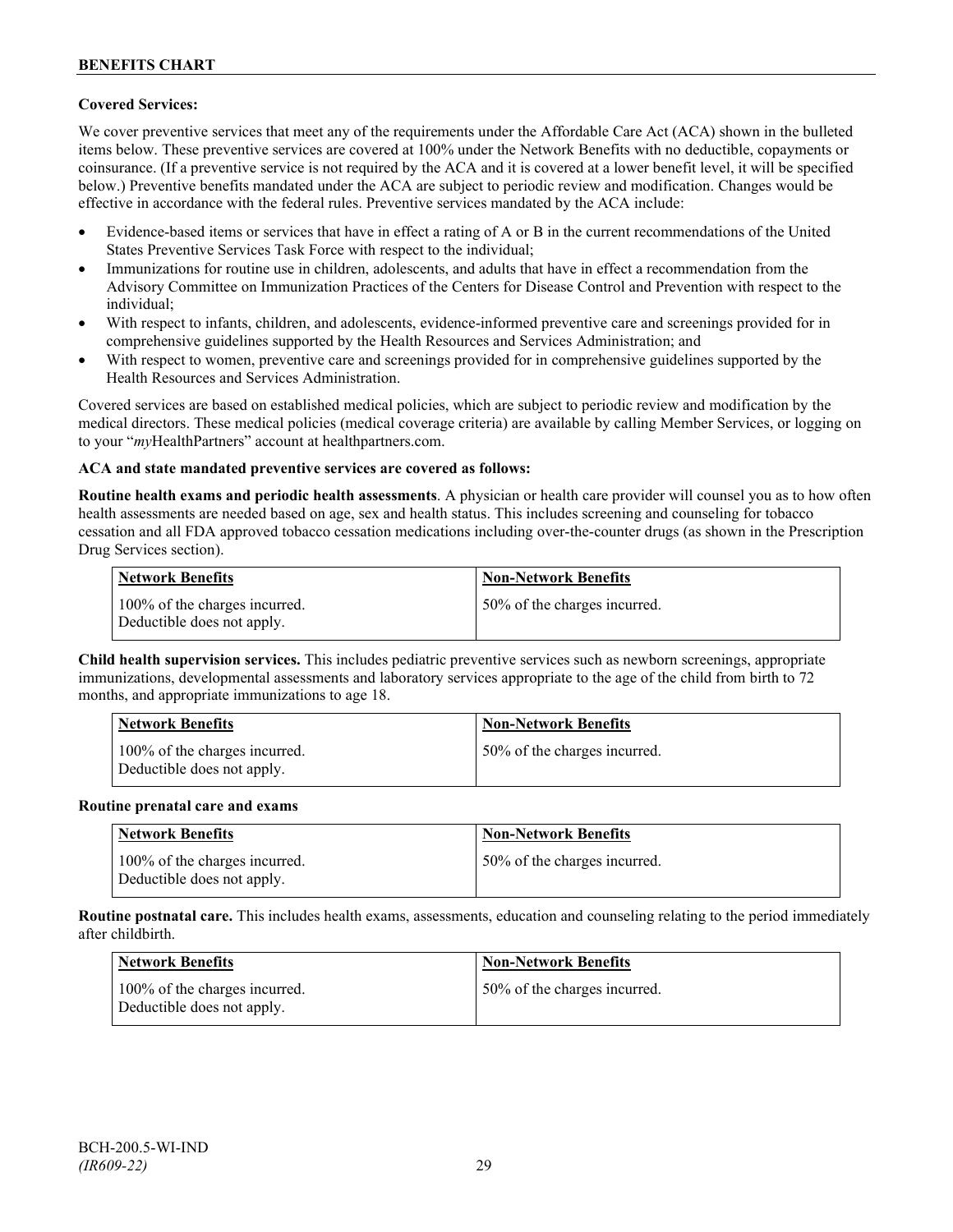## **Covered Services:**

We cover preventive services that meet any of the requirements under the Affordable Care Act (ACA) shown in the bulleted items below. These preventive services are covered at 100% under the Network Benefits with no deductible, copayments or coinsurance. (If a preventive service is not required by the ACA and it is covered at a lower benefit level, it will be specified below.) Preventive benefits mandated under the ACA are subject to periodic review and modification. Changes would be effective in accordance with the federal rules. Preventive services mandated by the ACA include:

- Evidence-based items or services that have in effect a rating of A or B in the current recommendations of the United States Preventive Services Task Force with respect to the individual;
- Immunizations for routine use in children, adolescents, and adults that have in effect a recommendation from the Advisory Committee on Immunization Practices of the Centers for Disease Control and Prevention with respect to the individual;
- With respect to infants, children, and adolescents, evidence-informed preventive care and screenings provided for in comprehensive guidelines supported by the Health Resources and Services Administration; and
- With respect to women, preventive care and screenings provided for in comprehensive guidelines supported by the Health Resources and Services Administration.

Covered services are based on established medical policies, which are subject to periodic review and modification by the medical directors. These medical policies (medical coverage criteria) are available by calling Member Services, or logging on to your "*my*HealthPartners" account at [healthpartners.com.](http://www.healthpartners.com/)

## **ACA and state mandated preventive services are covered as follows:**

**Routine health exams and periodic health assessments**. A physician or health care provider will counsel you as to how often health assessments are needed based on age, sex and health status. This includes screening and counseling for tobacco cessation and all FDA approved tobacco cessation medications including over-the-counter drugs (as shown in the Prescription Drug Services section).

| <b>Network Benefits</b>                                     | <b>Non-Network Benefits</b>  |
|-------------------------------------------------------------|------------------------------|
| 100% of the charges incurred.<br>Deductible does not apply. | 50% of the charges incurred. |

**Child health supervision services.** This includes pediatric preventive services such as newborn screenings, appropriate immunizations, developmental assessments and laboratory services appropriate to the age of the child from birth to 72 months, and appropriate immunizations to age 18.

| <b>Network Benefits</b>                                     | <b>Non-Network Benefits</b>  |
|-------------------------------------------------------------|------------------------------|
| 100% of the charges incurred.<br>Deductible does not apply. | 50% of the charges incurred. |

#### **Routine prenatal care and exams**

| Network Benefits                                            | <b>Non-Network Benefits</b>  |
|-------------------------------------------------------------|------------------------------|
| 100% of the charges incurred.<br>Deductible does not apply. | 50% of the charges incurred. |

**Routine postnatal care.** This includes health exams, assessments, education and counseling relating to the period immediately after childbirth.

| <b>Network Benefits</b>                                     | <b>Non-Network Benefits</b>  |
|-------------------------------------------------------------|------------------------------|
| 100% of the charges incurred.<br>Deductible does not apply. | 50% of the charges incurred. |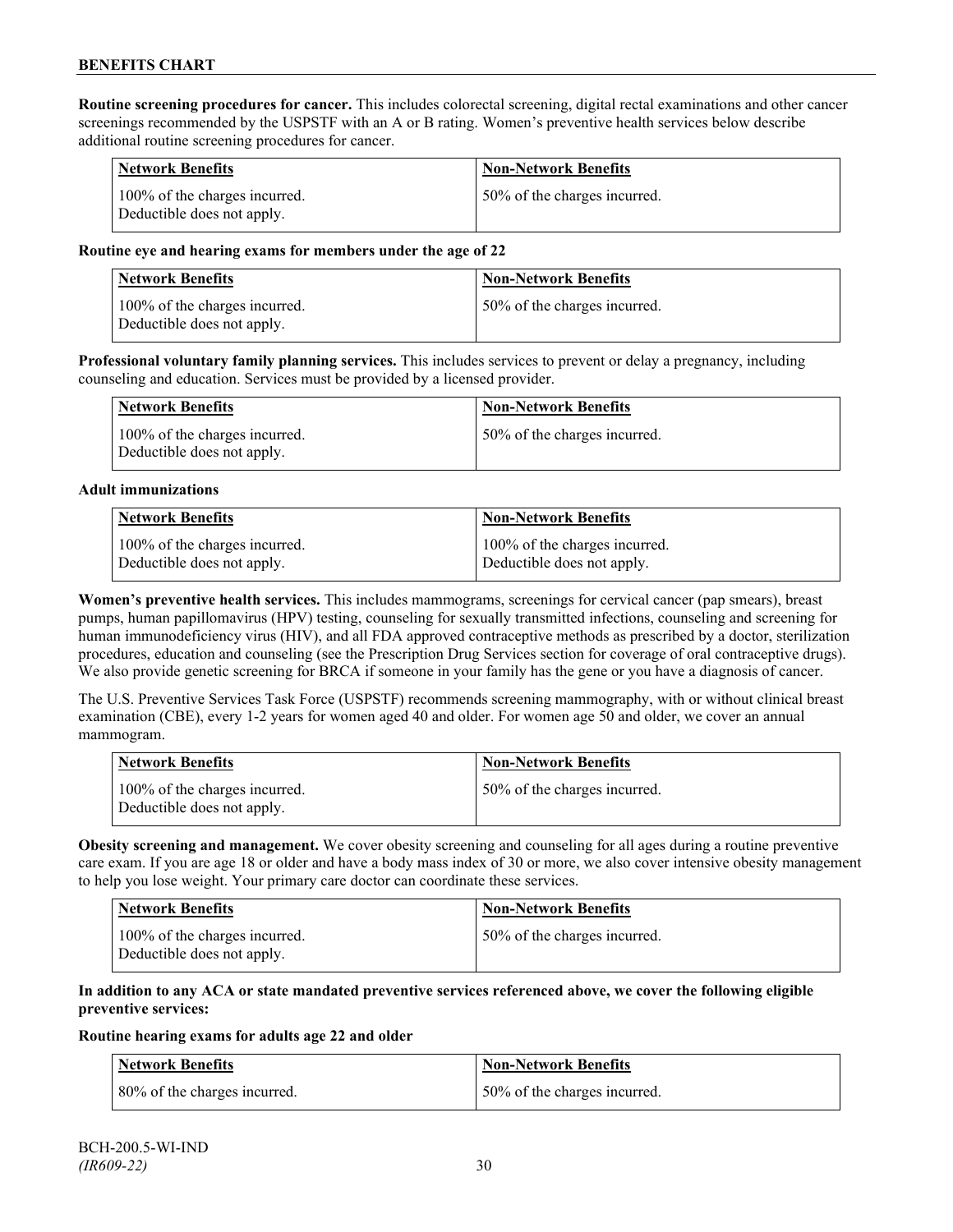**Routine screening procedures for cancer.** This includes colorectal screening, digital rectal examinations and other cancer screenings recommended by the USPSTF with an A or B rating. Women's preventive health services below describe additional routine screening procedures for cancer.

| <b>Network Benefits</b>                                     | <b>Non-Network Benefits</b>  |
|-------------------------------------------------------------|------------------------------|
| 100% of the charges incurred.<br>Deductible does not apply. | 50% of the charges incurred. |

#### **Routine eye and hearing exams for members under the age of 22**

| Network Benefits                                            | <b>Non-Network Benefits</b>  |
|-------------------------------------------------------------|------------------------------|
| 100% of the charges incurred.<br>Deductible does not apply. | 50% of the charges incurred. |

**Professional voluntary family planning services.** This includes services to prevent or delay a pregnancy, including counseling and education. Services must be provided by a licensed provider.

| Network Benefits                                            | <b>Non-Network Benefits</b>   |
|-------------------------------------------------------------|-------------------------------|
| 100% of the charges incurred.<br>Deductible does not apply. | 150% of the charges incurred. |

#### **Adult immunizations**

| <b>Network Benefits</b>       | <b>Non-Network Benefits</b>   |
|-------------------------------|-------------------------------|
| 100% of the charges incurred. | 100% of the charges incurred. |
| Deductible does not apply.    | Deductible does not apply.    |

**Women's preventive health services.** This includes mammograms, screenings for cervical cancer (pap smears), breast pumps, human papillomavirus (HPV) testing, counseling for sexually transmitted infections, counseling and screening for human immunodeficiency virus (HIV), and all FDA approved contraceptive methods as prescribed by a doctor, sterilization procedures, education and counseling (see the Prescription Drug Services section for coverage of oral contraceptive drugs). We also provide genetic screening for BRCA if someone in your family has the gene or you have a diagnosis of cancer.

The U.S. Preventive Services Task Force (USPSTF) recommends screening mammography, with or without clinical breast examination (CBE), every 1-2 years for women aged 40 and older. For women age 50 and older, we cover an annual mammogram.

| Network Benefits                                            | <b>Non-Network Benefits</b>  |
|-------------------------------------------------------------|------------------------------|
| 100% of the charges incurred.<br>Deductible does not apply. | 50% of the charges incurred. |

**Obesity screening and management.** We cover obesity screening and counseling for all ages during a routine preventive care exam. If you are age 18 or older and have a body mass index of 30 or more, we also cover intensive obesity management to help you lose weight. Your primary care doctor can coordinate these services.

| <b>Network Benefits</b>                                     | Non-Network Benefits         |
|-------------------------------------------------------------|------------------------------|
| 100% of the charges incurred.<br>Deductible does not apply. | 50% of the charges incurred. |

#### **In addition to any ACA or state mandated preventive services referenced above, we cover the following eligible preventive services:**

#### **Routine hearing exams for adults age 22 and older**

| <b>Network Benefits</b>       | <b>Non-Network Benefits</b>  |
|-------------------------------|------------------------------|
| 180% of the charges incurred. | 50% of the charges incurred. |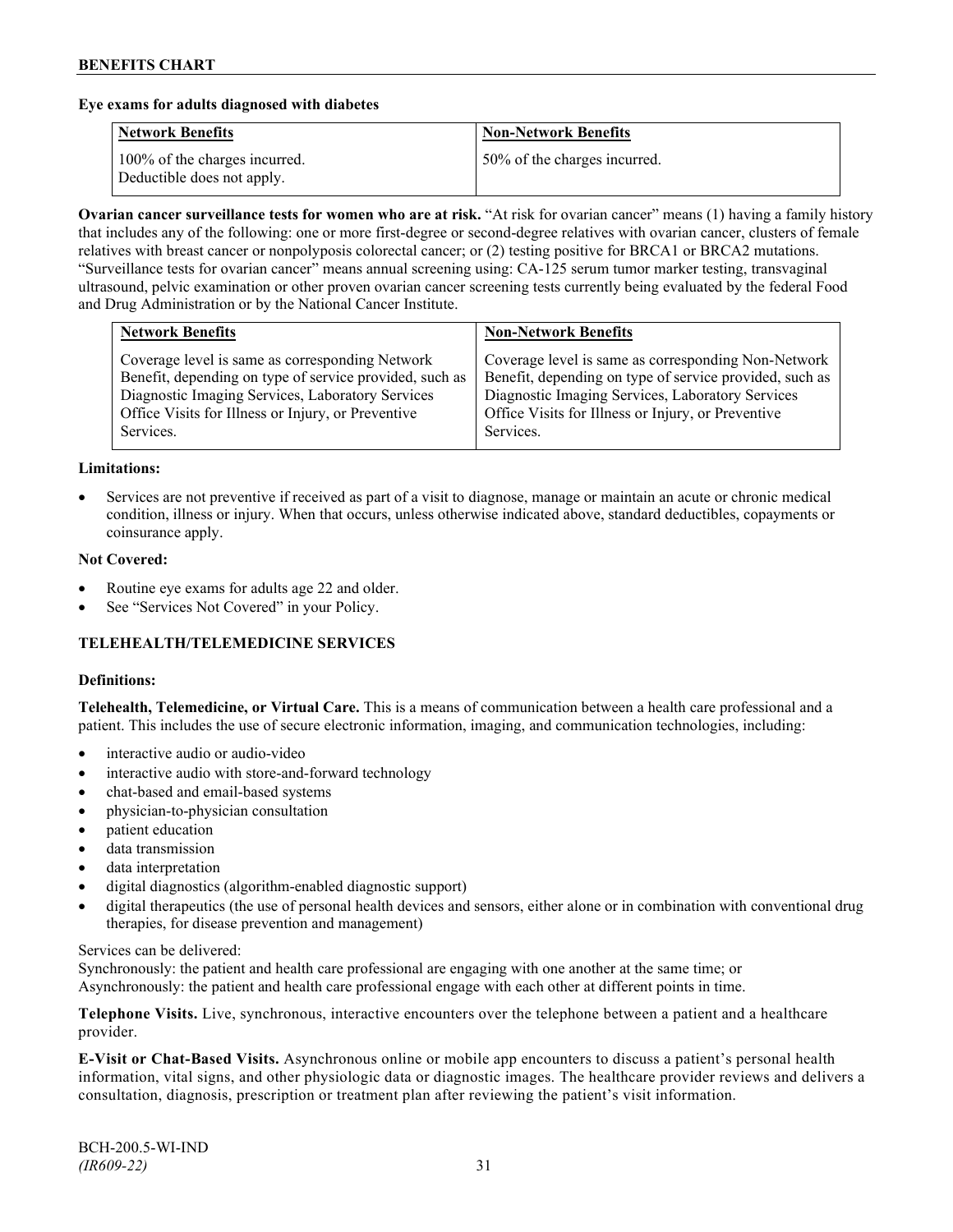#### **Eye exams for adults diagnosed with diabetes**

| <b>Network Benefits</b>                                     | <b>Non-Network Benefits</b>  |
|-------------------------------------------------------------|------------------------------|
| 100% of the charges incurred.<br>Deductible does not apply. | 50% of the charges incurred. |

**Ovarian cancer surveillance tests for women who are at risk.** "At risk for ovarian cancer" means (1) having a family history that includes any of the following: one or more first-degree or second-degree relatives with ovarian cancer, clusters of female relatives with breast cancer or nonpolyposis colorectal cancer; or (2) testing positive for BRCA1 or BRCA2 mutations. "Surveillance tests for ovarian cancer" means annual screening using: CA-125 serum tumor marker testing, transvaginal ultrasound, pelvic examination or other proven ovarian cancer screening tests currently being evaluated by the federal Food and Drug Administration or by the National Cancer Institute.

| Coverage level is same as corresponding Network<br>Benefit, depending on type of service provided, such as<br>Diagnostic Imaging Services, Laboratory Services<br>Diagnostic Imaging Services, Laboratory Services<br>Office Visits for Illness or Injury, or Preventive<br>Office Visits for Illness or Injury, or Preventive | <b>Network Benefits</b> | <b>Non-Network Benefits</b>                                                                                                 |
|--------------------------------------------------------------------------------------------------------------------------------------------------------------------------------------------------------------------------------------------------------------------------------------------------------------------------------|-------------------------|-----------------------------------------------------------------------------------------------------------------------------|
|                                                                                                                                                                                                                                                                                                                                | Services.               | Coverage level is same as corresponding Non-Network<br>Benefit, depending on type of service provided, such as<br>Services. |

#### **Limitations:**

• Services are not preventive if received as part of a visit to diagnose, manage or maintain an acute or chronic medical condition, illness or injury. When that occurs, unless otherwise indicated above, standard deductibles, copayments or coinsurance apply.

#### **Not Covered:**

- Routine eye exams for adults age 22 and older.
- See "Services Not Covered" in your Policy.

## **TELEHEALTH/TELEMEDICINE SERVICES**

#### **Definitions:**

**Telehealth, Telemedicine, or Virtual Care.** This is a means of communication between a health care professional and a patient. This includes the use of secure electronic information, imaging, and communication technologies, including:

- interactive audio or audio-video
- interactive audio with store-and-forward technology
- chat-based and email-based systems
- physician-to-physician consultation
- patient education
- data transmission
- data interpretation
- digital diagnostics (algorithm-enabled diagnostic support)
- digital therapeutics (the use of personal health devices and sensors, either alone or in combination with conventional drug therapies, for disease prevention and management)

#### Services can be delivered:

Synchronously: the patient and health care professional are engaging with one another at the same time; or Asynchronously: the patient and health care professional engage with each other at different points in time.

**Telephone Visits.** Live, synchronous, interactive encounters over the telephone between a patient and a healthcare provider.

**E-Visit or Chat-Based Visits.** Asynchronous online or mobile app encounters to discuss a patient's personal health information, vital signs, and other physiologic data or diagnostic images. The healthcare provider reviews and delivers a consultation, diagnosis, prescription or treatment plan after reviewing the patient's visit information.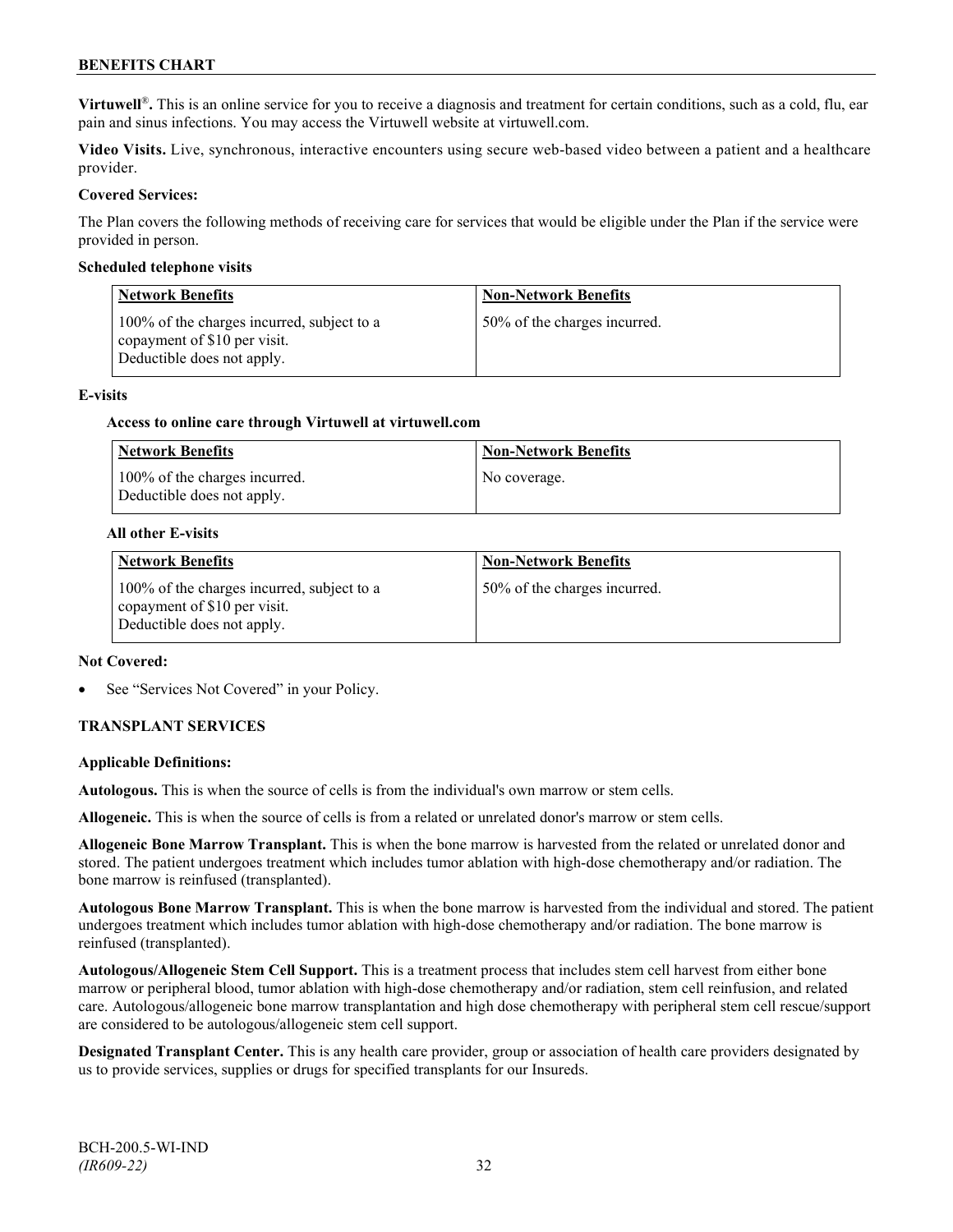**Virtuwell<sup>®</sup>**. This is an online service for you to receive a diagnosis and treatment for certain conditions, such as a cold, flu, ear pain and sinus infections. You may access the Virtuwell website at [virtuwell.com.](https://www.virtuwell.com/)

**Video Visits.** Live, synchronous, interactive encounters using secure web-based video between a patient and a healthcare provider.

#### **Covered Services:**

The Plan covers the following methods of receiving care for services that would be eligible under the Plan if the service were provided in person.

#### **Scheduled telephone visits**

| <b>Network Benefits</b>                                                                                  | <b>Non-Network Benefits</b>  |
|----------------------------------------------------------------------------------------------------------|------------------------------|
| 100% of the charges incurred, subject to a<br>copayment of \$10 per visit.<br>Deductible does not apply. | 50% of the charges incurred. |

#### **E-visits**

#### **Access to online care through Virtuwell at [virtuwell.com](http://www.virtuwell.com/)**

| Network Benefits                                            | <b>Non-Network Benefits</b> |
|-------------------------------------------------------------|-----------------------------|
| 100% of the charges incurred.<br>Deductible does not apply. | No coverage.                |

#### **All other E-visits**

| <b>Network Benefits</b>                                                                                  | <b>Non-Network Benefits</b>  |
|----------------------------------------------------------------------------------------------------------|------------------------------|
| 100% of the charges incurred, subject to a<br>copayment of \$10 per visit.<br>Deductible does not apply. | 50% of the charges incurred. |

#### **Not Covered:**

See "Services Not Covered" in your Policy.

## **TRANSPLANT SERVICES**

#### **Applicable Definitions:**

**Autologous.** This is when the source of cells is from the individual's own marrow or stem cells.

**Allogeneic.** This is when the source of cells is from a related or unrelated donor's marrow or stem cells.

**Allogeneic Bone Marrow Transplant.** This is when the bone marrow is harvested from the related or unrelated donor and stored. The patient undergoes treatment which includes tumor ablation with high-dose chemotherapy and/or radiation. The bone marrow is reinfused (transplanted).

**Autologous Bone Marrow Transplant.** This is when the bone marrow is harvested from the individual and stored. The patient undergoes treatment which includes tumor ablation with high-dose chemotherapy and/or radiation. The bone marrow is reinfused (transplanted).

**Autologous/Allogeneic Stem Cell Support.** This is a treatment process that includes stem cell harvest from either bone marrow or peripheral blood, tumor ablation with high-dose chemotherapy and/or radiation, stem cell reinfusion, and related care. Autologous/allogeneic bone marrow transplantation and high dose chemotherapy with peripheral stem cell rescue/support are considered to be autologous/allogeneic stem cell support.

**Designated Transplant Center.** This is any health care provider, group or association of health care providers designated by us to provide services, supplies or drugs for specified transplants for our Insureds.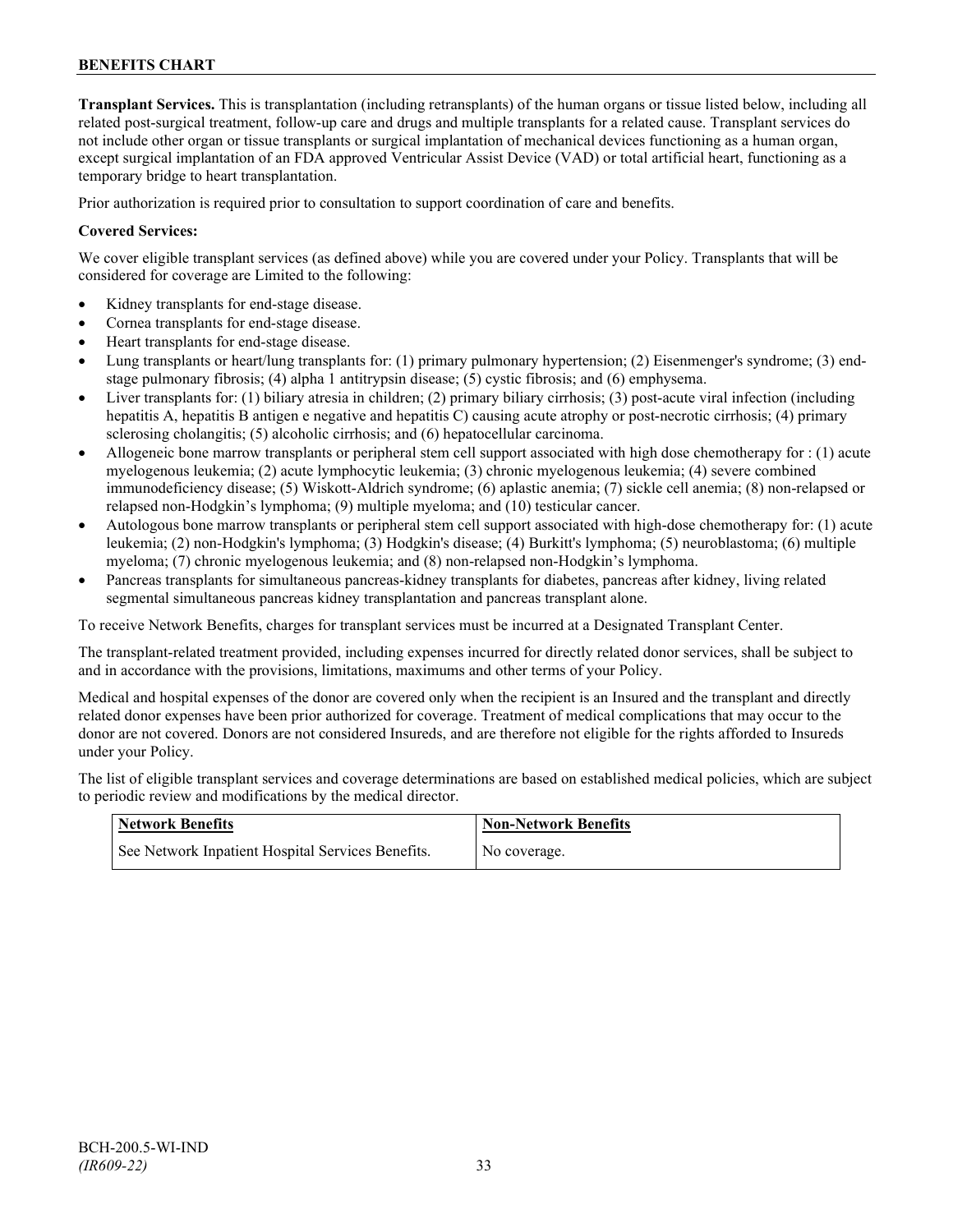**Transplant Services.** This is transplantation (including retransplants) of the human organs or tissue listed below, including all related post-surgical treatment, follow-up care and drugs and multiple transplants for a related cause. Transplant services do not include other organ or tissue transplants or surgical implantation of mechanical devices functioning as a human organ, except surgical implantation of an FDA approved Ventricular Assist Device (VAD) or total artificial heart, functioning as a temporary bridge to heart transplantation.

Prior authorization is required prior to consultation to support coordination of care and benefits.

## **Covered Services:**

We cover eligible transplant services (as defined above) while you are covered under your Policy. Transplants that will be considered for coverage are Limited to the following:

- Kidney transplants for end-stage disease.
- Cornea transplants for end-stage disease.
- Heart transplants for end-stage disease.
- Lung transplants or heart/lung transplants for: (1) primary pulmonary hypertension; (2) Eisenmenger's syndrome; (3) endstage pulmonary fibrosis; (4) alpha 1 antitrypsin disease; (5) cystic fibrosis; and (6) emphysema.
- Liver transplants for: (1) biliary atresia in children; (2) primary biliary cirrhosis; (3) post-acute viral infection (including hepatitis A, hepatitis B antigen e negative and hepatitis C) causing acute atrophy or post-necrotic cirrhosis; (4) primary sclerosing cholangitis; (5) alcoholic cirrhosis; and (6) hepatocellular carcinoma.
- Allogeneic bone marrow transplants or peripheral stem cell support associated with high dose chemotherapy for : (1) acute myelogenous leukemia; (2) acute lymphocytic leukemia; (3) chronic myelogenous leukemia; (4) severe combined immunodeficiency disease; (5) Wiskott-Aldrich syndrome; (6) aplastic anemia; (7) sickle cell anemia; (8) non-relapsed or relapsed non-Hodgkin's lymphoma; (9) multiple myeloma; and (10) testicular cancer.
- Autologous bone marrow transplants or peripheral stem cell support associated with high-dose chemotherapy for: (1) acute leukemia; (2) non-Hodgkin's lymphoma; (3) Hodgkin's disease; (4) Burkitt's lymphoma; (5) neuroblastoma; (6) multiple myeloma; (7) chronic myelogenous leukemia; and (8) non-relapsed non-Hodgkin's lymphoma.
- Pancreas transplants for simultaneous pancreas-kidney transplants for diabetes, pancreas after kidney, living related segmental simultaneous pancreas kidney transplantation and pancreas transplant alone.

To receive Network Benefits, charges for transplant services must be incurred at a Designated Transplant Center.

The transplant-related treatment provided, including expenses incurred for directly related donor services, shall be subject to and in accordance with the provisions, limitations, maximums and other terms of your Policy.

Medical and hospital expenses of the donor are covered only when the recipient is an Insured and the transplant and directly related donor expenses have been prior authorized for coverage. Treatment of medical complications that may occur to the donor are not covered. Donors are not considered Insureds, and are therefore not eligible for the rights afforded to Insureds under your Policy.

The list of eligible transplant services and coverage determinations are based on established medical policies, which are subject to periodic review and modifications by the medical director.

| <b>Network Benefits</b>                           | <b>Non-Network Benefits</b> |
|---------------------------------------------------|-----------------------------|
| See Network Inpatient Hospital Services Benefits. | No coverage.                |